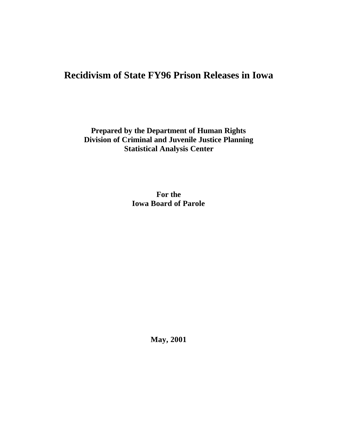# **Recidivism of State FY96 Prison Releases in Iowa**

**Prepared by the Department of Human Rights Division of Criminal and Juvenile Justice Planning Statistical Analysis Center**

> **For the Iowa Board of Parole**

> > **May, 2001**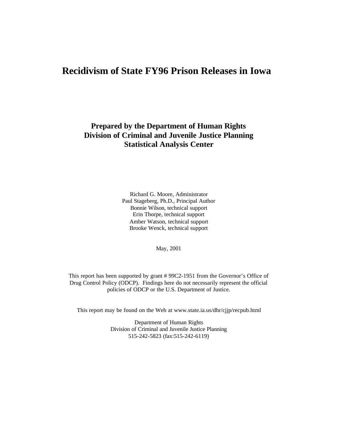## **Recidivism of State FY96 Prison Releases in Iowa**

## **Prepared by the Department of Human Rights Division of Criminal and Juvenile Justice Planning Statistical Analysis Center**

Richard G. Moore, Administrator Paul Stageberg, Ph.D., Principal Author Bonnie Wilson, technical support Erin Thorpe, technical support Amber Watson, technical support Brooke Wenck, technical support

May, 2001

This report has been supported by grant # 99C2-1951 from the Governor's Office of Drug Control Policy (ODCP). Findings here do not necessarily represent the official policies of ODCP or the U.S. Department of Justice.

This report may be found on the Web at www.state.ia.us/dhr/cjjp/recpub.html

Department of Human Rights Division of Criminal and Juvenile Justice Planning 515-242-5823 (fax:515-242-6119)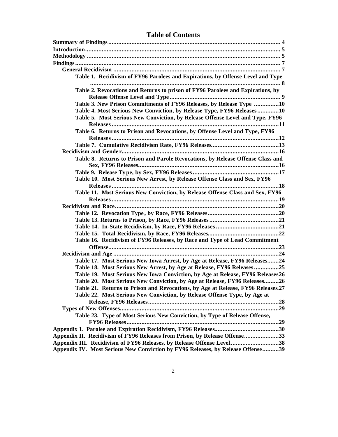| Table 1. Recidivism of FY96 Parolees and Expirations, by Offense Level and Type                                                                     |  |
|-----------------------------------------------------------------------------------------------------------------------------------------------------|--|
|                                                                                                                                                     |  |
| Table 2. Revocations and Returns to prison of FY96 Parolees and Expirations, by                                                                     |  |
|                                                                                                                                                     |  |
| Table 3. New Prison Commitments of FY96 Releases, by Release Type 10                                                                                |  |
| Table 4. Most Serious New Conviction, by Release Type, FY96 Releases10                                                                              |  |
| Table 5. Most Serious New Conviction, by Release Offense Level and Type, FY96                                                                       |  |
|                                                                                                                                                     |  |
| Table 6. Returns to Prison and Revocations, by Offense Level and Type, FY96                                                                         |  |
|                                                                                                                                                     |  |
|                                                                                                                                                     |  |
|                                                                                                                                                     |  |
| Table 8. Returns to Prison and Parole Revocations, by Release Offense Class and                                                                     |  |
|                                                                                                                                                     |  |
|                                                                                                                                                     |  |
| Table 10. Most Serious New Arrest, by Release Offense Class and Sex, FY96                                                                           |  |
| Table 11. Most Serious New Conviction, by Release Offense Class and Sex, FY96                                                                       |  |
|                                                                                                                                                     |  |
|                                                                                                                                                     |  |
|                                                                                                                                                     |  |
|                                                                                                                                                     |  |
|                                                                                                                                                     |  |
|                                                                                                                                                     |  |
| Table 16. Recidivism of FY96 Releases, by Race and Type of Lead Commitment                                                                          |  |
|                                                                                                                                                     |  |
|                                                                                                                                                     |  |
| Table 17. Most Serious New Iowa Arrest, by Age at Release, FY96 Releases24                                                                          |  |
| Table 18. Most Serious New Arrest, by Age at Release, FY96 Releases25                                                                               |  |
| Table 19. Most Serious New Iowa Conviction, by Age at Release, FY96 Releases26                                                                      |  |
| Table 20. Most Serious New Conviction, by Age at Release, FY96 Releases26                                                                           |  |
| Table 21. Returns to Prison and Revocations, by Age at Release, FY96 Releases.27                                                                    |  |
| Table 22. Most Serious New Conviction, by Release Offense Type, by Age at                                                                           |  |
|                                                                                                                                                     |  |
|                                                                                                                                                     |  |
| Table 23. Type of Most Serious New Conviction, by Type of Release Offense,                                                                          |  |
|                                                                                                                                                     |  |
|                                                                                                                                                     |  |
|                                                                                                                                                     |  |
|                                                                                                                                                     |  |
| Appendix II. Recidivism of FY96 Releases from Prison, by Release Offense33<br>Appendix III. Recidivism of FY96 Releases, by Release Offense Level38 |  |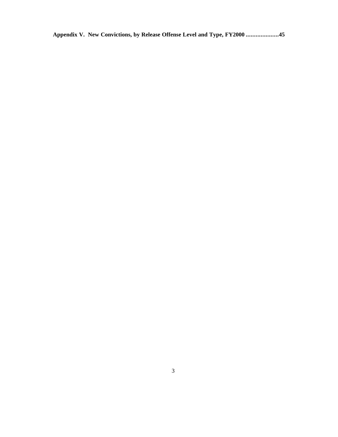**Appendix V. New Convictions, by Release Offense Level and Type, FY2000 ....................45**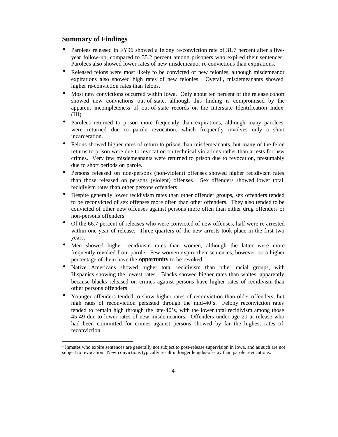#### **Summary of Findings**

j

- Parolees released in FY96 showed a felony re-conviction rate of 31.7 percent after a fiveyear follow-up, compared to 35.2 percent among prisoners who expired their sentences. Parolees also showed lower rates of new misdemeanor re-convictions than expirations.
- Released felons were most likely to be convicted of new felonies, although misdemeanor expirations also showed high rates of new felonies. Overall, misdemeanants showed higher re-conviction rates than felons.
- Most new convictions occurred within Iowa. Only about ten percent of the release cohort showed new convictions out-of-state, although this finding is compromised by the apparent incompleteness of out-of-state records on the Interstate Identification Index (III).
- Parolees returned to prison more frequently than expirations, although many parolees were returned due to parole revocation, which frequently involves only a short incarceration.<sup>1</sup>
- Felons showed higher rates of return to prison than misdemeanants, but many of the felon returns to prison were due to revocation on technical violations rather than arrests for new crimes. Very few misdemeanants were returned to prison due to revocation, presumably due to short periods on parole.
- Persons released on non-persons (non-violent) offenses showed higher recidivism rates than those released on persons (violent) offenses. Sex offenders showed lower total recidivism rates than other persons offenders
- Despite generally lower recidivism rates than other offender groups, sex offenders tended to be reconvicted of sex offenses more often than other offenders. They also tended to be convicted of other new offenses against persons more often than either drug offenders or non-persons offenders.
- Of the 66.7 percent of releases who were convicted of new offenses, half were re-arrested within one year of release. Three-quarters of the new arrests took place in the first two years.
- Men showed higher recidivism rates than women, although the latter were more frequently revoked from parole. Few women expire their sentences, however, so a higher percentage of them have the **opportunity** to be revoked.
- Native Americans showed higher total recidivism than other racial groups, with Hispanics showing the lowest rates. Blacks showed higher rates than whites, apparently because blacks released on crimes against persons have higher rates of recidivism than other persons offenders.
- Younger offenders tended to show higher rates of reconviction than older offenders, but high rates of reconviction persisted through the mid-40's. Felony reconviction rates tended to remain high through the late-40's, with the lower total recidivism among those 45-49 due to lower rates of new misdemeanors. Offenders under age 21 at release who had been committed for crimes against persons showed by far the highest rates of reconviction.

<sup>&</sup>lt;sup>1</sup> Inmates who expire sentences are generally not subject to post-release supervision in Iowa, and as such are not subject to revocation. New convictions typically result in longer lengths-of-stay than parole revocations.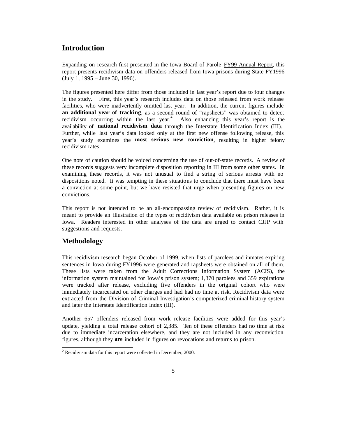## **Introduction**

Expanding on research first presented in the Iowa Board of Parole FY99 Annual Report, this report presents recidivism data on offenders released from Iowa prisons during State FY1996 (July 1, 1995 – June 30, 1996).

The figures presented here differ from those included in last year's report due to four changes in the study. First, this year's research includes data on those released from work release facilities, who were inadvertently omitted last year. In addition, the current figures include **an additional year of tracking**, as a second round of "rapsheets" was obtained to detect recidivism occurring within the last year.<sup>2</sup> Also enhancing this year's report is the availability of **national recidivism data** through the Interstate Identification Index (III). Further, while last year's data looked only at the first new offense following release, this year's study examines the **most serious new conviction**, resulting in higher felony recidivism rates.

One note of caution should be voiced concerning the use of out-of-state records. A review of these records suggests very incomplete disposition reporting in III from some other states. In examining these records, it was not unusual to find a string of serious arrests with no dispositions noted. It was tempting in these situations to conclude that there must have been a conviction at some point, but we have resisted that urge when presenting figures on new convictions.

This report is not intended to be an all-encompassing review of recidivism. Rather, it is meant to provide an illustration of the types of recidivism data available on prison releases in Iowa. Readers interested in other analyses of the data are urged to contact CJJP with suggestions and requests.

### **Methodology**

This recidivism research began October of 1999, when lists of parolees and inmates expiring sentences in Iowa during FY1996 were generated and rapsheets were obtained on all of them. These lists were taken from the Adult Corrections Information System (ACIS), the information system maintained for Iowa's prison system; 1,370 parolees and 359 expirations were tracked after release, excluding five offenders in the original cohort who were immediately incarcerated on other charges and had had no time at risk. Recidivism data were extracted from the Division of Criminal Investigation's computerized criminal history system and later the Interstate Identification Index (III).

Another 657 offenders released from work release facilities were added for this year's update, yielding a total release cohort of 2,385. Ten of these offenders had no time at risk due to immediate incarceration elsewhere, and they are not included in any reconviction figures, although they **are** included in figures on revocations and returns to prison.

<sup>&</sup>lt;sup>2</sup> Recidivism data for this report were collected in December, 2000.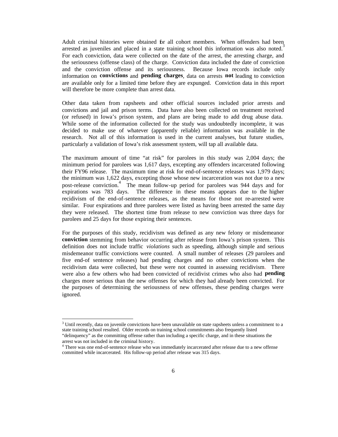Adult criminal histories were obtained for all cohort members. When offenders had been arrested as juveniles and placed in a state training school this information was also noted.<sup>3</sup> For each conviction, data were collected on the date of the arrest, the arresting charge, and the seriousness (offense class) of the charge. Conviction data included the date of conviction and the conviction offense and its seriousness. Because Iowa records include only information on **convictions** and **pending charges**, data on arrests **not** leading to conviction are available only for a limited time before they are expunged. Conviction data in this report will therefore be more complete than arrest data.

Other data taken from rapsheets and other official sources included prior arrests and convictions and jail and prison terms. Data have also been collected on treatment received (or refused) in Iowa's prison system, and plans are being made to add drug abuse data. While some of the information collected for the study was undoubtedly incomplete, it was decided to make use of whatever (apparently reliable) information was available in the research. Not all of this information is used in the current analyses, but future studies, particularly a validation of Iowa's risk assessment system, will tap all available data.

The maximum amount of time "at risk" for parolees in this study was 2,004 days; the minimum period for parolees was 1,617 days, excepting any offenders incarcerated following their FY96 release. The maximum time at risk for end-of-sentence releases was 1,979 days; the minimum was 1,622 days, excepting those whose new incarceration was not due to a new post-release conviction.<sup>4</sup> The mean follow-up period for parolees was 944 days and for expirations was 783 days. The difference in these means appears due to the higher recidivism of the end-of-sentence releases, as the means for those not re-arrested were similar. Four expirations and three parolees were listed as having been arrested the same day they were released. The shortest time from release to new conviction was three days for parolees and 25 days for those expiring their sentences.

For the purposes of this study, recidivism was defined as any new felony or misdemeanor **conviction** stemming from behavior occurring after release from Iowa's prison system. This definition does not include traffic *violations* such as speeding, although simple and serious misdemeanor traffic convictions were counted. A small number of releases (29 parolees and five end-of sentence releases) had pending charges and no other convictions when the recidivism data were collected, but these were not counted in assessing recidivism. There were also a few others who had been convicted of recidivist crimes who also had **pending** charges more serious than the new offenses for which they had already been convicted. For the purposes of determining the seriousness of new offenses, these pending charges were ignored.

 3 Until recently, data on juvenile convictions have been unavailable on state rapsheets unless a commitment to a state training school resulted. Older records on training school commitments also frequently listed "delinquency" as the committing offense rather than including a specific charge, and in these situations the arrest was not included in the criminal history.

<sup>&</sup>lt;sup>4</sup> There was one end-of-sentence release who was immediately incarcerated after release due to a new offense committed while incarcerated. His follow-up period after release was 315 days.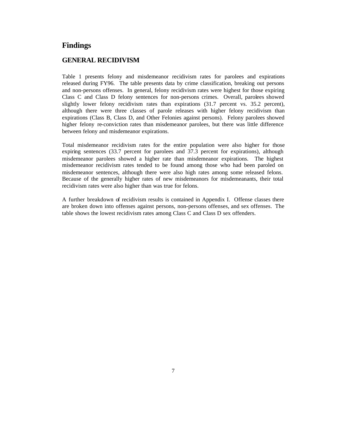### **Findings**

#### **GENERAL RECIDIVISM**

Table 1 presents felony and misdemeanor recidivism rates for parolees and expirations released during FY96. The table presents data by crime classification, breaking out persons and non-persons offenses. In general, felony recidivism rates were highest for those expiring Class C and Class D felony sentences for non-persons crimes. Overall, parolees showed slightly lower felony recidivism rates than expirations (31.7 percent vs. 35.2 percent), although there were three classes of parole releases with higher felony recidivism than expirations (Class B, Class D, and Other Felonies against persons). Felony parolees showed higher felony re-conviction rates than misdemeanor parolees, but there was little difference between felony and misdemeanor expirations.

Total misdemeanor recidivism rates for the entire population were also higher for those expiring sentences (33.7 percent for parolees and 37.3 percent for expirations), although misdemeanor parolees showed a higher rate than misdemeanor expirations. The highest misdemeanor recidivism rates tended to be found among those who had been paroled on misdemeanor sentences, although there were also high rates among some released felons. Because of the generally higher rates of new misdemeanors for misdemeanants, their total recidivism rates were also higher than was true for felons.

A further breakdown of recidivism results is contained in Appendix I. Offense classes there are broken down into offenses against persons, non-persons offenses, and sex offenses. The table shows the lowest recidivism rates among Class C and Class D sex offenders.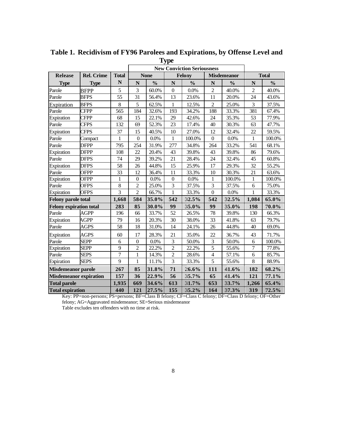|                                |                   |                 |                  | <b>New Conviction Seriousness</b> |                |               |                         |                    |                |               |
|--------------------------------|-------------------|-----------------|------------------|-----------------------------------|----------------|---------------|-------------------------|--------------------|----------------|---------------|
| <b>Release</b>                 | <b>Rel. Crime</b> | <b>Total</b>    |                  | <b>None</b>                       |                | <b>Felony</b> |                         | <b>Misdemeanor</b> |                | <b>Total</b>  |
| <b>Type</b>                    | <b>Type</b>       | $\mathbb N$     | $\mathbf N$      | $\frac{0}{0}$                     | ${\bf N}$      | $\frac{0}{0}$ | ${\bf N}$               | $\frac{0}{0}$      | $\mathbf N$    | $\frac{0}{0}$ |
| Parole                         | <b>BFPP</b>       | 5               | 3                | 60.0%                             | $\mathbf{0}$   | $0.0\%$       | $\overline{c}$          | 40.0%              | $\overline{c}$ | 40.0%         |
| Parole                         | <b>BFPS</b>       | $\overline{55}$ | $\overline{31}$  | 56.4%                             | 13             | 23.6%         | 11                      | 20.0%              | 24             | 43.6%         |
| Expiration                     | <b>BFPS</b>       | $\,8\,$         | $\mathfrak s$    | 62.5%                             | 1              | 12.5%         | $\overline{c}$          | 25.0%              | 3              | 37.5%         |
| Parole                         | <b>CFPP</b>       | 565             | 184              | 32.6%                             | 193            | 34.2%         | 188                     | 33.3%              | 381            | 67.4%         |
| Expiration                     | <b>CFPP</b>       | 68              | 15               | 22.1%                             | 29             | 42.6%         | 24                      | 35.3%              | 53             | 77.9%         |
| Parole                         | <b>CFPS</b>       | 132             | 69               | 52.3%                             | 23             | 17.4%         | 40                      | 30.3%              | 63             | 47.7%         |
| Expiration                     | <b>CFPS</b>       | 37              | 15               | 40.5%                             | 10             | 27.0%         | 12                      | 32.4%              | 22             | 59.5%         |
| Parole                         | Compact           | $\mathbf{1}$    | $\boldsymbol{0}$ | 0.0%                              | 1              | 100.0%        | $\overline{0}$          | 0.0%               | $\mathbf{1}$   | 100.0%        |
| Parole                         | <b>DFPP</b>       | 795             | 254              | 31.9%                             | 277            | 34.8%         | 264                     | 33.2%              | 541            | 68.1%         |
| Expiration                     | <b>DFPP</b>       | 108             | 22               | 20.4%                             | 43             | 39.8%         | 43                      | 39.8%              | 86             | 79.6%         |
| Parole                         | DFPS              | 74              | 29               | 39.2%                             | 21             | 28.4%         | 24                      | 32.4%              | 45             | 60.8%         |
| Expiration                     | <b>DFPS</b>       | 58              | 26               | 44.8%                             | 15             | 25.9%         | 17                      | 29.3%              | 32             | 55.2%         |
| Parole                         | <b>OFPP</b>       | 33              | 12               | 36.4%                             | 11             | 33.3%         | 10                      | 30.3%              | 21             | 63.6%         |
| Expiration                     | <b>OFPP</b>       | $\mathbf{1}$    | $\boldsymbol{0}$ | $0.0\%$                           | $\overline{0}$ | 0.0%          | $\mathbf{1}$            | 100.0%             | $\mathbf{1}$   | 100.0%        |
| Parole                         | <b>OFPS</b>       | $\,8\,$         | $\overline{2}$   | 25.0%                             | 3              | 37.5%         | 3                       | 37.5%              | 6              | 75.0%         |
| Expiration                     | <b>OFPS</b>       | $\overline{3}$  | $\overline{c}$   | 66.7%                             | $\mathbf{1}$   | 33.3%         | $\overline{0}$          | $0.0\%$            | $\mathbf{1}$   | 33.3%         |
| <b>Felony parole total</b>     |                   | 1,668           | 584              | 35.0%                             | 542            | 32.5%         | 542                     | 32.5%              | 1,084          | 65.0%         |
| <b>Felony expiration total</b> |                   | 283             | 85               | 30.0%                             | 99             | 35.0%         | 99                      | 35.0%              | 198            | $70.0\%$      |
| Parole                         | <b>AGPP</b>       | 196             | 66               | 33.7%                             | 52             | 26.5%         | 78                      | 39.8%              | 130            | 66.3%         |
| Expiration                     | AGPP              | 79              | 16               | 20.3%                             | 30             | 38.0%         | 33                      | 41.8%              | 63             | 79.7%         |
| Parole                         | AGPS              | 58              | 18               | 31.0%                             | 14             | 24.1%         | 26                      | 44.8%              | 40             | 69.0%         |
| Expiration                     | <b>AGPS</b>       | 60              | 17               | 28.3%                             | 21             | 35.0%         | 22                      | 36.7%              | 43             | 71.7%         |
| Parole                         | <b>SEPP</b>       | 6               | $\boldsymbol{0}$ | 0.0%                              | 3              | 50.0%         | 3                       | 50.0%              | 6              | 100.0%        |
| Expiration                     | <b>SEPP</b>       | 9               | $\overline{c}$   | 22.2%                             | $\overline{c}$ | 22.2%         | 5                       | 55.6%              | $\tau$         | 77.8%         |
| Parole                         | <b>SEPS</b>       | $\overline{7}$  | $\mathbf 1$      | 14.3%                             | $\overline{2}$ | 28.6%         | $\overline{\mathbf{4}}$ | 57.1%              | 6              | 85.7%         |
| Expiration                     | <b>SEPS</b>       | 9               | $\mathbf{1}$     | 11.1%                             | $\overline{3}$ | 33.3%         | 5                       | 55.6%              | 8              | 88.9%         |
| <b>Misdemeanor parole</b>      |                   | 267             | 85               | 31.8%                             | 71             | 26.6%         | 111                     | 41.6%              | 182            | 68.2%         |
| <b>Misdemeanor expiration</b>  |                   | 157             | 36               | 22.9%                             | 56             | 35.7%         | 65                      | 41.4%              | 121            | 77.1%         |
| <b>Total parole</b>            |                   | 1,935           | 669              | 34.6%                             | 613            | 31.7%         | 653                     | 33.7%              | 1,266          | $65.4\%$      |
| <b>Total expiration</b>        |                   | 440             | 121              | 27.5%                             | 155            | 35.2%         | 164                     | 37.3%              | 319            | 72.5%         |

**Table 1. Recidivism of FY96 Parolees and Expirations, by Offense Level and Type**

Key: PP=non-persons; PS=persons; BF=Class B felony; CF=Class C felony; DF=Class D felony; OF=Other felony; AG=Aggravated misdemeanor; SE=Serious misdemeanor Table excludes ten offenders with no time at risk.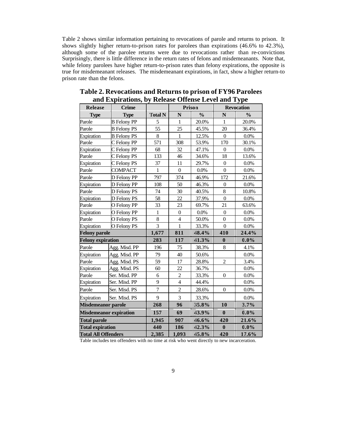Table 2 shows similar information pertaining to revocations of parole and returns to prison. It shows slightly higher return-to-prison rates for parolees than expirations (46.6% to 42.3%), although some of the parolee returns were due to revocations rather than re-convictions Surprisingly, there is little difference in the return rates of felons and misdemeanants. Note that, while felony parolees have higher return-to-prison rates than felony expirations, the opposite is true for misdemeanant releases. The misdemeanant expirations, in fact, show a higher return-to prison rate than the felons.

| <b>Release</b>             | <b>Crime</b>                  |                |                  | Prison        |                  | <b>Revocation</b> |
|----------------------------|-------------------------------|----------------|------------------|---------------|------------------|-------------------|
| <b>Type</b>                | <b>Type</b>                   | Total N        | $\mathbf N$      | $\frac{0}{0}$ | $\mathbf N$      | $\frac{0}{0}$     |
| Parole                     | <b>B</b> Felony PP            | 5              | $\mathbf{1}$     | 20.0%         | $\mathbf{1}$     | 20.0%             |
| Parole                     | <b>B</b> Felony PS            | 55             | 25               | 45.5%         | 20               | 36.4%             |
| Expiration                 | <b>B</b> Felony PS            | $8\,$          | 1                | 12.5%         | $\boldsymbol{0}$ | $0.0\%$           |
| Parole                     | C Felony PP                   | 571            | 308              | 53.9%         | 170              | 30.1%             |
| Expiration                 | C Felony PP                   | 68             | 32               | 47.1%         | $\boldsymbol{0}$ | $0.0\%$           |
| Parole                     | C Felony PS                   | 133            | 46               | 34.6%         | 18               | 13.6%             |
| Expiration                 | C Felony PS                   | 37             | 11               | 29.7%         | $\boldsymbol{0}$ | 0.0%              |
| Parole                     | <b>COMPACT</b>                | $\mathbf{1}$   | $\boldsymbol{0}$ | 0.0%          | $\boldsymbol{0}$ | $0.0\%$           |
| Parole                     | D Felony PP                   | 797            | 374              | 46.9%         | 172              | 21.6%             |
| Expiration                 | D Felony PP                   | 108            | 50               | 46.3%         | $\boldsymbol{0}$ | 0.0%              |
| Parole                     | D Felony PS                   | 74             | 30               | 40.5%         | 8                | 10.8%             |
| Expiration                 | D Felony PS                   | 58             | 22               | 37.9%         | $\boldsymbol{0}$ | 0.0%              |
| Parole                     | O Felony PP                   | 33             | 23               | 69.7%         | 21               | 63.6%             |
| Expiration                 | O Felony PP                   | $\mathbf{1}$   | $\boldsymbol{0}$ | 0.0%          | $\boldsymbol{0}$ | 0.0%              |
| Parole                     | O Felony PS                   | 8              | $\overline{4}$   | 50.0%         | $\overline{0}$   | $0.0\%$           |
| Expiration                 | O Felony PS                   | $\overline{3}$ | $\mathbf{1}$     | 33.3%         | $\boldsymbol{0}$ | $0.0\%$           |
| <b>Felony parole</b>       |                               | 1,677          | 811              | 48.4%         | 410              | 24.4%             |
| <b>Felony expiration</b>   |                               | 283            | 117              | 41.3%         | $\bf{0}$         | $0.0\%$           |
| Parole                     | Agg. Misd. PP                 | 196            | 75               | 38.3%         | 8                | 4.1%              |
| Expiration                 | Agg. Misd. PP                 | 79             | 40               | 50.6%         |                  | 0.0%              |
| Parole                     | Agg. Misd. PS                 | 59             | 17               | 28.8%         | $\overline{c}$   | 3.4%              |
| Expiration                 | Agg. Misd. PS                 | 60             | 22               | 36.7%         |                  | 0.0%              |
| Parole                     | Ser. Misd. PP                 | 6              | $\overline{c}$   | 33.3%         | $\boldsymbol{0}$ | 0.0%              |
| Expiration                 | Ser. Misd. PP                 | 9              | $\overline{4}$   | 44.4%         |                  | 0.0%              |
| Parole                     | Ser. Misd. PS                 | $\overline{7}$ | $\overline{2}$   | 28.6%         | $\boldsymbol{0}$ | 0.0%              |
| Expiration                 | Ser. Misd. PS                 | 9              | $\overline{3}$   | 33.3%         |                  | 0.0%              |
| <b>Misdemeanor parole</b>  |                               | 268            | 96               | 35.8%         | 10               | 3.7%              |
|                            | <b>Misdemeanor expiration</b> | 157            | 69               | 43.9%         | $\bf{0}$         | $0.0\%$           |
| <b>Total parole</b>        |                               | 1,945          | 907              | 46.6%         | 420              | 21.6%             |
| <b>Total expiration</b>    |                               | 440            | 186              | 42.3%         | $\bf{0}$         | $0.0\%$           |
| <b>Total All Offenders</b> |                               | 2,385          | 1,093            | 45.8%         | 420              | 17.6%             |

**Table 2. Revocations and Returns to prison of FY96 Parolees and Expirations, by Release Offense Level and Type**

Table includes ten offenders with no time at risk who went directly to new incarceration.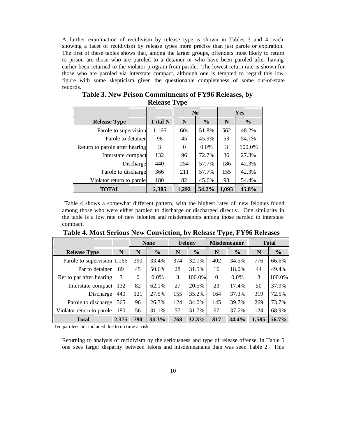A further examination of recidivism by release type is shown in Tables 3 and 4, each showing a facet of recidivism by release types more precise than just parole or expiration. The first of these tables shows that, among the larger groups, offenders most likely to return to prison are those who are paroled to a detainer or who have been paroled after having earlier been returned to the violator program from parole. The lowest return rate is shown for those who are paroled via interstate compact, although one is tempted to regard this low figure with some skepticism given the questionable completeness of some out-of-state records.

|                                |                | N <sub>0</sub> |               | Yes   |               |
|--------------------------------|----------------|----------------|---------------|-------|---------------|
| <b>Release Type</b>            | <b>Total N</b> | N              | $\frac{0}{0}$ | N     | $\frac{0}{0}$ |
| Parole to supervision          | 1,166          | 604            | 51.8%         | 562   | 48.2%         |
| Parole to detainer             | 98             | 45             | 45.9%         | 53    | 54.1%         |
| Return to parole after hearing | 3              | $\Omega$       | $0.0\%$       | 3     | 100.0%        |
| Interstate compact             | 132            | 96             | 72.7%         | 36    | 27.3%         |
| Discharge                      | 440            | 254            | 57.7%         | 186   | 42.3%         |
| Parole to discharge            | 366            | 211            | 57.7%         | 155   | 42.3%         |
| Violator return to parole      | 180            | 82             | 45.6%         | 98    | 54.4%         |
| <b>TOTAL</b>                   | 2,385          | 1,292          | 54.2%         | 1,093 | $4.5.8\%$     |

**Table 3. New Prison Commitments of FY96 Releases, by Release Type**

 Table 4 shows a somewhat different pattern, with the highest rates of new felonies found among those who were either paroled to discharge or discharged directly. One similarity in the table is a low rate of new felonies and misdemeanors among those paroled to interstate compact.

|                             |       | <b>None</b> |               | <b>Felony</b> |               | <b>Misdemeanor</b> |               | <b>Total</b> |               |
|-----------------------------|-------|-------------|---------------|---------------|---------------|--------------------|---------------|--------------|---------------|
| <b>Release Type</b>         | N     | N           | $\frac{6}{6}$ | N             | $\frac{6}{6}$ | N                  | $\frac{6}{6}$ | N            | $\frac{6}{6}$ |
| Parole to supervision 1,166 |       | 390         | 33.4%         | 374           | 32.1%         | 402                | 34.5%         | 776          | 66.6%         |
| Par to detainer             | 89    | 45          | 50.6%         | 28            | 31.5%         | 16                 | 18.0%         | 44           | 49.4%         |
| Ret to par after hearing    | 3     | $\Omega$    | $0.0\%$       | 3             | 100.0%        | $\Omega$           | $0.0\%$       | 3            | 100.0%        |
| Interstate compact          | 132   | 82          | 62.1%         | 27            | 20.5%         | 23                 | 17.4%         | 50           | 37.9%         |
| Discharge                   | 440   | 121         | 27.5%         | 155           | 35.2%         | 164                | 37.3%         | 319          | 72.5%         |
| Parole to discharge         | 365   | 96          | 26.3%         | 124           | 34.0%         | 145                | 39.7%         | 269          | 73.7%         |
| Violator return to parole   | 180   | 56          | 31.1%         | 57            | 31.7%         | 67                 | 37.2%         | 124          | 68.9%         |
| <b>Total</b>                | 2,375 | 790         | 33.3%         | 768           | 32.3%         | 817                | 34.4%         | 1,585        | $66.7\%$      |

**Table 4. Most Serious New Conviction, by Release Type, FY96 Releases**

Ten parolees not included due to no time at risk.

Returning to analysis of recidivism by the seriousness and type of release offense, in Table 5 one sees larger disparity between felons and misdemeanants than was seen Table 2. This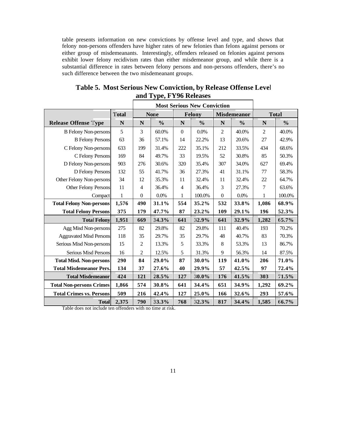table presents information on new convictions by offense level and type, and shows that felony non-persons offenders have higher rates of new felonies than felons against persons or either group of misdemeanants. Interestingly, offenders released on felonies against persons exhibit lower felony recidivism rates than either misdemeanor group, and while there is a substantial difference in rates between felony persons and non-persons offenders, there's no such difference between the two misdemeanant groups.

|                                 |              | <b>Most Serious New Conviction</b> |               |                |               |                    |               |                |               |
|---------------------------------|--------------|------------------------------------|---------------|----------------|---------------|--------------------|---------------|----------------|---------------|
|                                 | <b>Total</b> |                                    | None          |                | <b>Felony</b> | <b>Misdemeanor</b> |               | <b>Total</b>   |               |
| <b>Release Offense Type</b>     | N            | N                                  | $\frac{0}{0}$ | N              | $\frac{0}{0}$ | N                  | $\frac{0}{0}$ | N              | $\frac{0}{0}$ |
| <b>B</b> Felony Non-persons     | 5            | 3                                  | 60.0%         | $\overline{0}$ | 0.0%          | $\overline{c}$     | 40.0%         | 2              | 40.0%         |
| <b>B</b> Felony Persons         | 63           | 36                                 | 57.1%         | 14             | 22.2%         | 13                 | 20.6%         | 27             | 42.9%         |
| C Felony Non-persons            | 633          | 199                                | 31.4%         | 222            | 35.1%         | 212                | 33.5%         | 434            | 68.6%         |
| C Felony Persons                | 169          | 84                                 | 49.7%         | 33             | 19.5%         | 52                 | 30.8%         | 85             | 50.3%         |
| D Felony Non-persons            | 903          | 276                                | 30.6%         | 320            | 35.4%         | 307                | 34.0%         | 627            | 69.4%         |
| D Felony Persons                | 132          | 55                                 | 41.7%         | 36             | 27.3%         | 41                 | 31.1%         | 77             | 58.3%         |
| Other Felony Non-persons        | 34           | 12                                 | 35.3%         | 11             | 32.4%         | 11                 | 32.4%         | 22             | 64.7%         |
| Other Felony Persons            | 11           | 4                                  | 36.4%         | $\overline{4}$ | 36.4%         | 3                  | 27.3%         | $\overline{7}$ | 63.6%         |
| Compact                         | $\mathbf{1}$ | $\overline{0}$                     | 0.0%          | 1              | 100.0%        | $\boldsymbol{0}$   | 0.0%          | $\mathbf{1}$   | 100.0%        |
| <b>Total Felony Non-persons</b> | 1,576        | 490                                | 31.1%         | 554            | 35.2%         | 532                | 33.8%         | 1,086          | 68.9%         |
| <b>Total Felony Persons</b>     | 375          | 179                                | 47.7%         | 87             | 23.2%         | 109                | 29.1%         | 196            | 52.3%         |
| <b>Total Felony</b>             | 1,951        | 669                                | 34.3%         | 641            | 32.9%         | 641                | 32.9%         | 1,282          | 65.7%         |
| Agg Misd Non-persons            | 275          | 82                                 | 29.8%         | 82             | 29.8%         | 111                | 40.4%         | 193            | 70.2%         |
| <b>Aggravated Misd Persons</b>  | 118          | 35                                 | 29.7%         | 35             | 29.7%         | 48                 | 40.7%         | 83             | 70.3%         |
| Serious Misd Non-persons        | 15           | 2                                  | 13.3%         | 5              | 33.3%         | $\,8\,$            | 53.3%         | 13             | 86.7%         |
| Serious Misd Persons            | 16           | $\overline{c}$                     | 12.5%         | 5              | 31.3%         | 9                  | 56.3%         | 14             | 87.5%         |
| <b>Total Misd. Non-persons</b>  | 290          | 84                                 | 29.0%         | 87             | 30.0%         | 119                | 41.0%         | 206            | 71.0%         |
| <b>Total Misdemeanor Pers.</b>  | 134          | 37                                 | 27.6%         | 40             | 29.9%         | 57                 | 42.5%         | 97             | 72.4%         |
| <b>Total Misdemeanor</b>        | 424          | 121                                | 28.5%         | 127            | 30.0%         | 176                | 41.5%         | 303            | 71.5%         |
| <b>Total Non-persons Crimes</b> | 1,866        | 574                                | 30.8%         | 641            | 34.4%         | 651                | 34.9%         | 1,292          | 69.2%         |
| <b>Total Crimes vs. Persons</b> | 509          | 216                                | 42.4%         | 127            | 25.0%         | 166                | 32.6%         | 293            | 57.6%         |
| <b>Total</b>                    | 2,375        | 790                                | 33.3%         | 768            | 32.3%         | 817                | 34.4%         | 1,585          | 66.7%         |

**Table 5. Most Serious New Conviction, by Release Offense Level and Type, FY96 Releases**

Table does not include ten offenders with no time at risk.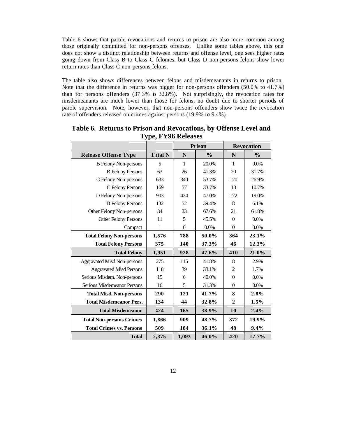Table 6 shows that parole revocations and returns to prison are also more common among those originally committed for non-persons offenses. Unlike some tables above, this one does not show a distinct relationship between returns and offense level; one sees higher rates going down from Class B to Class C felonies, but Class D non-persons felons show lower return rates than Class C non-persons felons.

The table also shows differences between felons and misdemeanants in returns to prison. Note that the difference in returns was bigger for non-persons offenders (50.0% to 41.7%) than for persons offenders  $(37.3\%$  to  $32.8\%)$ . Not surprisingly, the revocation rates for misdemeanants are much lower than those for felons, no doubt due to shorter periods of parole supervision. Note, however, that non-persons offenders show twice the revocation rate of offenders released on crimes against persons (19.9% to 9.4%).

|                                    |                |                | <b>Prison</b> | <b>Revocation</b> |               |  |
|------------------------------------|----------------|----------------|---------------|-------------------|---------------|--|
| <b>Release Offense Type</b>        | <b>Total N</b> | N              | $\frac{0}{0}$ | N                 | $\frac{0}{0}$ |  |
| <b>B</b> Felony Non-persons        | 5              | 1              | 20.0%         | $\mathbf{1}$      | 0.0%          |  |
| <b>B</b> Felony Persons            | 63             | 26             | 41.3%         | 20                | 31.7%         |  |
| C Felony Non-persons               | 633            | 340            | 53.7%         | 170               | 26.9%         |  |
| C Felony Persons                   | 169            | 57             | 33.7%         | 18                | 10.7%         |  |
| D Felony Non-persons               | 903            | 424            | 47.0%         | 172               | 19.0%         |  |
| D Felony Persons                   | 132            | 52             | 39.4%         | 8                 | 6.1%          |  |
| Other Felony Non-persons           | 34             | 23             | 67.6%         | 21                | 61.8%         |  |
| <b>Other Felony Persons</b>        | 11             | 5              | 45.5%         | $\Omega$          | 0.0%          |  |
| Compact                            | 1              | $\overline{0}$ | 0.0%          | $\overline{0}$    | 0.0%          |  |
| <b>Total Felony Non-persons</b>    | 1,576          | 788            | 50.0%         | 364               | 23.1%         |  |
| <b>Total Felony Persons</b>        | 375            | 140            | 37.3%         | 46                | 12.3%         |  |
| <b>Total Felony</b>                | 1,951          | 928            | 47.6%         | 410               | 21.0%         |  |
| <b>Aggravated Misd Non-persons</b> | 275            | 115            | 41.8%         | 8                 | 2.9%          |  |
| <b>Aggravated Misd Persons</b>     | 118            | 39             | 33.1%         | $\overline{2}$    | 1.7%          |  |
| Serious Misdem. Non-persons        | 15             | 6              | 40.0%         | $\Omega$          | 0.0%          |  |
| Serious Misdemeanor Persons        | 16             | 5              | 31.3%         | $\Omega$          | $0.0\%$       |  |
| <b>Total Misd. Non-persons</b>     | 290            | 121            | 41.7%         | 8                 | 2.8%          |  |
| <b>Total Misdemeanor Pers.</b>     | 134            | 44             | 32.8%         | $\mathbf{2}$      | 1.5%          |  |
| <b>Total Misdemeanor</b>           | 424            | 165            | 38.9%         | 10                | 2.4%          |  |
| <b>Total Non-persons Crimes</b>    | 1,866          | 909            | 48.7%         | 372               | 19.9%         |  |
| <b>Total Crimes vs. Persons</b>    | 509            | 184            | 36.1%         | 48                | 9.4%          |  |
| <b>Total</b>                       | 2,375          | 1,093          | 46.0%         | 420               | 17.7%         |  |

**Table 6. Returns to Prison and Revocations, by Offense Level and Type, FY96 Releases**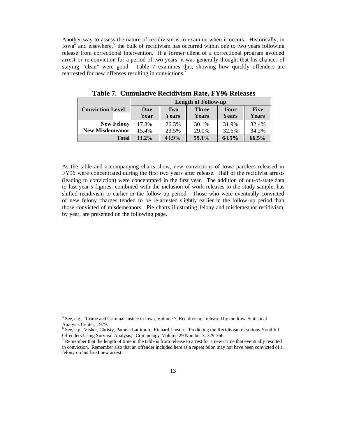Another way to assess the nature of recidivism is to examine when it occurs. Historically, in  $Iowa<sup>5</sup>$  and elsewhere,  $6$  the bulk of recidivism has occurred within one to two years following release from correctional intervention. If a former client of a correctional program avoided arrest or re-conviction for a period of two years, it was generally thought that his chances of staying "clean" were good. Table 7 examines this, showing how quickly offenders are rearrested for new offenses resulting in convictions.

|                         | <b>Length of Follow-up</b> |              |              |       |              |  |  |  |
|-------------------------|----------------------------|--------------|--------------|-------|--------------|--|--|--|
| <b>Conviction Level</b> | One                        | Two          | <b>Three</b> | Four  | Five         |  |  |  |
|                         | <b>Year</b>                | <b>Years</b> | Years        | Years | <b>Years</b> |  |  |  |
| <b>New Felony</b>       | 17.8%                      | 26.3%        | 30.1%        | 31.9% | 32.4%        |  |  |  |
| <b>New Misdemeanor</b>  | 15.4%                      | 23.5%        | 29.0%        | 32.6% | 34.2%        |  |  |  |
| <b>Total</b>            | $33.2\%$                   | 49.9%        | 59.1%        | 64.5% | 66.5%        |  |  |  |

**Table 7. Cumulative Recidivism Rate, FY96 Releases**

As the table and accompanying charts show, new convictions of Iowa parolees released in FY96 were concentrated during the first two years after release. Half of the recidivist arrests (leading to conviction) were concentrated in the first year. The addition of out-of-state data to last year's figures, combined with the inclusion of work releases to the study sample, has shifted recidivism to earlier in the follow-up period. Those who were eventually convicted of new felony charges tended to be re-arrested slightly earlier in the follow-up period than those convicted of misdemeanors. Pie charts illustrating felony and misdemeanor recidivism, by year, are presented on the following page.

 5 See, e.g., "Crime and Criminal Justice in Iowa, Volume 7, Recidivism," released by the Iowa Statistical Analysis Center, 1979.

<sup>6</sup> See, e.g., Visher, Christy, Pamela Lattimore, Richard Linster, "Predicting the Recidivism of serious Youthful Offenders Using Survival Analysis," Criminology Volume 29 Number 3, 329-366.

 $7$  Remember that the length of time in the table is from release to arrest for a new crime that eventually resulted in conviction. Remember also that an offender included here as a repeat felon may not have been convicted of a felony on his **first** new arrest.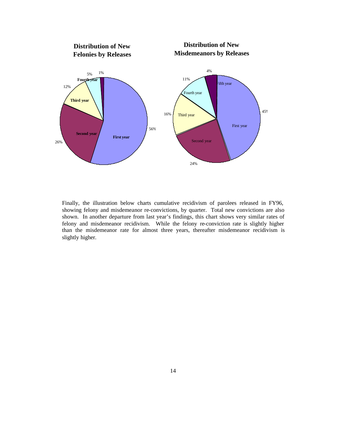

Finally, the illustration below charts cumulative recidivism of parolees released in FY96, showing felony and misdemeanor re-convictions, by quarter. Total new convictions are also shown. In another departure from last year's findings, this chart shows very similar rates of felony and misdemeanor recidivism. While the felony re-conviction rate is slightly higher than the misdemeanor rate for almost three years, thereafter misdemeanor recidivism is slightly higher.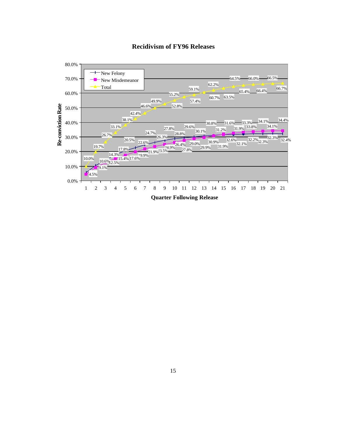

### **Recidivism of FY96 Releases**

**Quarter Following Release**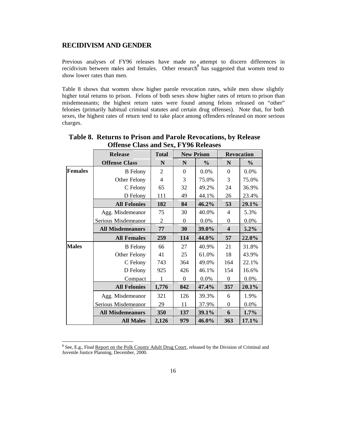#### **RECIDIVISM AND GENDER**

Previous analyses of FY96 releases have made no attempt to discern differences in recidivism between males and females. Other research $\frac{8 \text{ m.t. } \text{m}}{8}$  has suggested that women tend to show lower rates than men.

Table 8 shows that women show higher parole revocation rates, while men show slightly higher total returns to prison. Felons of both sexes show higher rates of return to prison than misdemeanants; the highest return rates were found among felons released on "other" felonies (primarily habitual criminal statutes and certain drug offenses). Note that, for both sexes, the highest rates of return tend to take place among offenders released on more serious charges.

|                | <b>Release</b>          | <b>Total</b>   | <b>New Prison</b> |               | Revocation              |               |  |
|----------------|-------------------------|----------------|-------------------|---------------|-------------------------|---------------|--|
|                | <b>Offense Class</b>    | N              | N                 | $\frac{0}{0}$ | ${\bf N}$               | $\frac{0}{0}$ |  |
| <b>Females</b> | <b>B</b> Felony         | $\overline{2}$ | $\boldsymbol{0}$  | 0.0%          | $\theta$                | 0.0%          |  |
|                | Other Felony            | $\overline{4}$ | 3                 | 75.0%         | 3                       | 75.0%         |  |
|                | C Felony                | 65             | 32                | 49.2%         | 24                      | 36.9%         |  |
|                | D Felony                | 111            | 49                | 44.1%         | 26                      | 23.4%         |  |
|                | <b>All Felonies</b>     | 182            | 84                | 46.2%         | 53                      | 29.1%         |  |
|                | Agg. Misdemeanor        | 75             | 30                | 40.0%         | 4                       | 5.3%          |  |
|                | Serious Misdemeanor     | $\overline{2}$ | $\boldsymbol{0}$  | 0.0%          | $\boldsymbol{0}$        | 0.0%          |  |
|                | <b>All Misdemeanors</b> | 77             | 30                | 39.0%         | $\overline{\mathbf{4}}$ | 5.2%          |  |
|                | <b>All Females</b>      | 259            | 114               | 44.0%         | 57                      | 22.0%         |  |
| <b>Males</b>   | <b>B</b> Felony         | 66             | 27                | 40.9%         | 21                      | 31.8%         |  |
|                | Other Felony            | 41             | 25                | 61.0%         | 18                      | 43.9%         |  |
|                | C Felony                | 743            | 364               | 49.0%         | 164                     | 22.1%         |  |
|                | D Felony                | 925            | 426               | 46.1%         | 154                     | 16.6%         |  |
|                | Compact                 | 1              | $\Omega$          | 0.0%          | $\boldsymbol{0}$        | 0.0%          |  |
|                | <b>All Felonies</b>     | 1,776          | 842               | 47.4%         | 357                     | 20.1%         |  |
|                | Agg. Misdemeanor        | 321            | 126               | 39.3%         | 6                       | 1.9%          |  |
|                | Serious Misdemeanor     | 29             | 11                | 37.9%         | $\boldsymbol{0}$        | 0.0%          |  |
|                | <b>All Misdemeanors</b> | 350            | 137               | 39.1%         | 6                       | 1.7%          |  |
|                | <b>All Males</b>        | 2,126          | 979               | 46.0%         | 363                     | 17.1%         |  |

### **Table 8. Returns to Prison and Parole Revocations, by Release Offense Class and Sex, FY96 Releases**

<sup>&</sup>lt;sup>8</sup> See, E.g., Final Report on the Polk County Adult Drug Court, released by the Division of Criminal and Juvenile Justice Planning, December, 2000.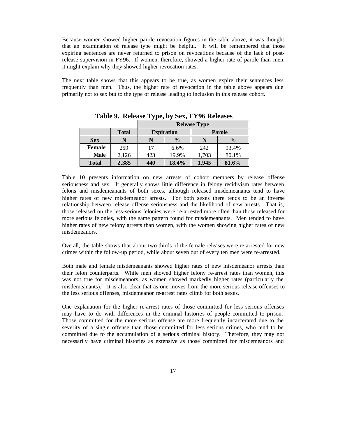Because women showed higher parole revocation figures in the table above, it was thought that an examination of release type might be helpful. It will be remembered that those expiring sentences are never returned to prison on revocations because of the lack of postrelease supervision in FY96. If women, therefore, showed a higher rate of parole than men, it might explain why they showed higher revocation rates.

The next table shows that this appears to be true, as women expire their sentences less frequently than men. Thus, the higher rate of revocation in the table above appears due primarily not to sex but to the type of release leading to inclusion in this release cohort.

|               |              | <b>Release Type</b> |                   |               |               |  |  |  |
|---------------|--------------|---------------------|-------------------|---------------|---------------|--|--|--|
|               | <b>Total</b> |                     | <b>Expiration</b> | <b>Parole</b> |               |  |  |  |
| <b>Sex</b>    | N            |                     | $\frac{0}{0}$     |               | $\frac{1}{2}$ |  |  |  |
| <b>Female</b> | 259          | 17                  | 6.6%              | 242           | 93.4%         |  |  |  |
| <b>Male</b>   | 2,126        | 423                 | 19.9%             | 1,703         | 80.1%         |  |  |  |
| <b>T</b> otal | 2,385        | 440                 | 18.4%             | 1,945         | 81.6%         |  |  |  |

**Table 9. Release Type, by Sex, FY96 Releases**

Table 10 presents information on new arrests of cohort members by release offense seriousness and sex. It generally shows little difference in felony recidivism rates between felons and misdemeanants of both sexes, although released misdemeanants tend to have higher rates of new misdemeanor arrests. For both sexes there tends to be an inverse relationship between release offense seriousness and the likelihood of new arrests. That is, those released on the less-serious felonies were re-arrested more often than those released for more serious felonies, with the same pattern found for misdemeanants. Men tended to have higher rates of new felony arrests than women, with the women showing higher rates of new misdemeanors.

Overall, the table shows that about two-thirds of the female releases were re-arrested for new crimes within the follow-up period, while about seven out of every ten men were re-arrested.

Both male and female misdemeanants showed higher rates of new misdemeanor arrests than their felon counterparts. While men showed higher felony re-arrest rates than women, this was not true for misdemeanors, as women showed markedly higher rates (particularly the misdemeanants). It is also clear that as one moves from the more serious release offenses to the less serious offenses, misdemeanor re-arrest rates climb for both sexes.

One explanation for the higher re-arrest rates of those committed for less serious offenses may have to do with differences in the criminal histories of people committed to prison. Those committed for the more serious offense are more frequently incarcerated due to the severity of a single offense than those committed for less serious crimes, who tend to be committed due to the accumulation of a serious criminal history. Therefore, they may not necessarily have criminal histories as extensive as those committed for misdemeanors and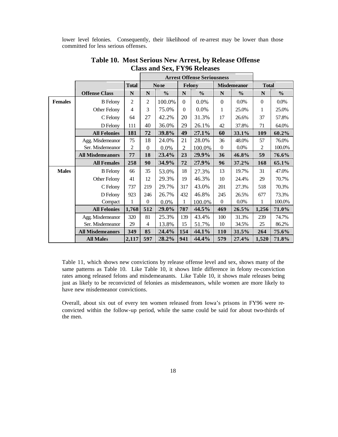lower level felonies. Consequently, their likelihood of re-arrest may be lower than those committed for less serious offenses.

|                |                         |                |                  |               | <b>Arrest Offense Seriousness</b> |               |                  |                    |                |               |
|----------------|-------------------------|----------------|------------------|---------------|-----------------------------------|---------------|------------------|--------------------|----------------|---------------|
|                |                         | <b>Total</b>   |                  | <b>None</b>   |                                   | Felony        |                  | <b>Misdemeanor</b> | <b>Total</b>   |               |
|                | <b>Offense Class</b>    | $\mathbf N$    | N                | $\frac{0}{0}$ | $\mathbf N$                       | $\frac{0}{0}$ | $\mathbf N$      | $\frac{0}{0}$      | $\mathbf N$    | $\frac{0}{0}$ |
| <b>Females</b> | <b>B</b> Felony         | 2              | 2                | 100.0%        | $\Omega$                          | 0.0%          | $\boldsymbol{0}$ | $0.0\%$            | $\overline{0}$ | 0.0%          |
|                | Other Felony            | $\overline{4}$ | 3                | 75.0%         | $\Omega$                          | 0.0%          | 1                | 25.0%              | 1              | 25.0%         |
|                | C Felony                | 64             | 27               | 42.2%         | 20                                | 31.3%         | 17               | 26.6%              | 37             | 57.8%         |
|                | D Felony                | 111            | 40               | 36.0%         | 29                                | 26.1%         | 42               | 37.8%              | 71             | 64.0%         |
|                | <b>All Felonies</b>     | 181            | 72               | 39.8%         | 49                                | 27.1%         | 60               | 33.1%              | 109            | 60.2%         |
|                | Agg. Misdemeanor        | 75             | 18               | 24.0%         | 21                                | 28.0%         | 36               | 48.0%              | 57             | 76.0%         |
|                | Ser. Misdemeanor        | 2              | $\boldsymbol{0}$ | 0.0%          | $\overline{2}$                    | 100.0%        | $\overline{0}$   | $0.0\%$            | $\overline{2}$ | 100.0%        |
|                | <b>All Misdemeanors</b> | 77             | 18               | 23.4%         | 23                                | 29.9%         | 36               | 46.8%              | 59             | $76.6\%$      |
|                | <b>All Females</b>      | 258            | 90               | 34.9%         | 72                                | 27.9%         | 96               | 37.2%              | 168            | 65.1%         |
| <b>Males</b>   | <b>B</b> Felony         | 66             | 35               | 53.0%         | 18                                | 27.3%         | 13               | 19.7%              | 31             | 47.0%         |
|                | Other Felony            | 41             | 12               | 29.3%         | 19                                | 46.3%         | 10               | 24.4%              | 29             | 70.7%         |
|                | C Felony                | 737            | 219              | 29.7%         | 317                               | 43.0%         | 201              | 27.3%              | 518            | 70.3%         |
|                | D Felony                | 923            | 246              | 26.7%         | 432                               | 46.8%         | 245              | 26.5%              | 677            | 73.3%         |
|                | Compact                 | 1              | $\overline{0}$   | 0.0%          | 1                                 | 100.0%        | $\theta$         | $0.0\%$            | 1              | 100.0%        |
|                | <b>All Felonies</b>     | 1,768          | 512              | 29.0%         | 787                               | 44.5%         | 469              | 26.5%              | 1,256          | $71.0\%$      |
|                | Agg. Misdemeanor        | 320            | 81               | 25.3%         | 139                               | 43.4%         | 100              | 31.3%              | 239            | 74.7%         |
|                | Ser. Misdemeanor        | 29             | 4                | 13.8%         | 15                                | 51.7%         | 10               | 34.5%              | 25             | 86.2%         |
|                | <b>All Misdemeanors</b> | 349            | 85               | 24.4%         | 154                               | 44.1%         | 110              | 31.5%              | 264            | $75.6\%$      |
|                | <b>All Males</b>        | 2,117          | 597              | 28.2%         | 941                               | 44.4%         | 579              | 27.4%              | 1,520          | 71.8%         |

**Table 10. Most Serious New Arrest, by Release Offense Class and Sex, FY96 Releases** ┑

Table 11, which shows new convictions by release offense level and sex, shows many of the same patterns as Table 10. Like Table 10, it shows little difference in felony re-conviction rates among released felons and misdemeanants. Like Table 10, it shows male releases being just as likely to be reconvicted of felonies as misdemeanors, while women are more likely to have new misdemeanor convictions.

Overall, about six out of every ten women released from Iowa's prisons in FY96 were reconvicted within the follow-up period, while the same could be said for about two-thirds of the men.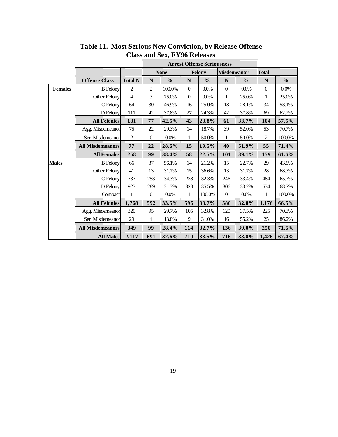|                |                         |                |                  | <b>Arrest Offense Seriousness</b> |                  |               |                    |               |                  |               |
|----------------|-------------------------|----------------|------------------|-----------------------------------|------------------|---------------|--------------------|---------------|------------------|---------------|
|                |                         |                |                  | <b>None</b>                       |                  | Felony        | <b>Misdemeanor</b> |               | <b>Total</b>     |               |
|                | <b>Offense Class</b>    | <b>Total N</b> | $\mathbf N$      | $\frac{0}{0}$                     | ${\bf N}$        | $\frac{0}{0}$ | ${\bf N}$          | $\frac{0}{0}$ | N                | $\frac{0}{0}$ |
| <b>Females</b> | <b>B</b> Felony         | $\overline{2}$ | $\overline{2}$   | 100.0%                            | $\boldsymbol{0}$ | 0.0%          | $\boldsymbol{0}$   | 0.0%          | $\boldsymbol{0}$ | 0.0%          |
|                | Other Felony            | $\overline{4}$ | 3                | 75.0%                             | $\boldsymbol{0}$ | 0.0%          | 1                  | 25.0%         | 1                | 25.0%         |
|                | C Felony                | 64             | 30               | 46.9%                             | 16               | 25.0%         | 18                 | 28.1%         | 34               | 53.1%         |
|                | D Felony                | 111            | 42               | 37.8%                             | $27\,$           | 24.3%         | 42                 | 37.8%         | 69               | 62.2%         |
|                | <b>All Felonies</b>     | 181            | 77               | 42.5%                             | 43               | 23.8%         | 61                 | 33.7%         | 104              | $57.5\%$      |
|                | Agg. Misdemeanor        | 75             | 22               | 29.3%                             | 14               | 18.7%         | 39                 | 52.0%         | 53               | 70.7%         |
|                | Ser. Misdemeanor        | $\overline{c}$ | $\overline{0}$   | $0.0\%$                           | 1                | 50.0%         | 1                  | 50.0%         | $\overline{c}$   | 100.0%        |
|                | <b>All Misdemeanors</b> | 77             | 22               | 28.6%                             | 15               | 19.5%         | 40                 | 51.9%         | 55               | 71.4%         |
|                | <b>All Females</b>      | 258            | 99               | 38.4%                             | 58               | 22.5%         | 101                | 39.1%         | 159              | 61.6%         |
| <b>Males</b>   | <b>B</b> Felony         | 66             | 37               | 56.1%                             | 14               | 21.2%         | 15                 | 22.7%         | 29               | 43.9%         |
|                | Other Felony            | 41             | 13               | 31.7%                             | 15               | 36.6%         | 13                 | 31.7%         | $28\,$           | 68.3%         |
|                | C Felony                | 737            | 253              | 34.3%                             | 238              | 32.3%         | 246                | 33.4%         | 484              | 65.7%         |
|                | D Felony                | 923            | 289              | 31.3%                             | 328              | 35.5%         | 306                | 33.2%         | 634              | 68.7%         |
|                | Compact                 | 1              | $\boldsymbol{0}$ | 0.0%                              | $\mathbf{1}$     | 100.0%        | $\boldsymbol{0}$   | 0.0%          | $\mathbf{1}$     | 100.0%        |
|                | <b>All Felonies</b>     | 1,768          | 592              | 33.5%                             | 596              | 33.7%         | 580                | 32.8%         | 1,176            | 66.5%         |
|                | Agg. Misdemeanor        | 320            | 95               | 29.7%                             | 105              | 32.8%         | 120                | 37.5%         | 225              | 70.3%         |
|                | Ser. Misdemeanor        | 29             | $\overline{4}$   | 13.8%                             | 9                | 31.0%         | 16                 | 55.2%         | 25               | 86.2%         |
|                | <b>All Misdemeanors</b> | 349            | 99<br>28.4%      |                                   | 114              | 32.7%         | 136                | 39.0%         | 250              | 71.6%         |
|                | <b>All Males</b>        | 2,117          | 691              | 32.6%                             | 710              | 33.5%         | 716                | 33.8%         | 1,426            | 67.4%         |

**Table 11. Most Serious New Conviction, by Release Offense Class and Sex, FY96 Releases**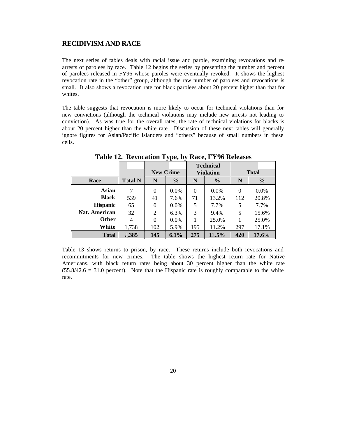#### **RECIDIVISM AND RACE**

The next series of tables deals with racial issue and parole, examining revocations and rearrests of parolees by race. Table 12 begins the series by presenting the number and percent of parolees released in FY96 whose paroles were eventually revoked. It shows the highest revocation rate in the "other" group, although the raw number of parolees and revocations is small. It also shows a revocation rate for black parolees about 20 percent higher than that for whites.

The table suggests that revocation is more likely to occur for technical violations than for new convictions (although the technical violations may include new arrests not leading to conviction). As was true for the overall rates, the rate of technical violations for blacks is about 20 percent higher than the white rate. Discussion of these next tables will generally ignore figures for Asian/Pacific Islanders and "others" because of small numbers in these cells.

|                      |                |          |                  |          | <b>Technical</b> |          |               |  |
|----------------------|----------------|----------|------------------|----------|------------------|----------|---------------|--|
|                      |                |          | <b>New Crime</b> |          | <b>Violation</b> |          | <b>Total</b>  |  |
| Race                 | <b>Total N</b> | N        | $\frac{0}{0}$    | N        | $\frac{0}{0}$    | N        | $\frac{0}{0}$ |  |
| <b>Asian</b>         | 7              | $\theta$ | $0.0\%$          | $\theta$ | $0.0\%$          | $\theta$ | $0.0\%$       |  |
| <b>Black</b>         | 539            | 41       | 7.6%             | 71       | 13.2%            | 112      | 20.8%         |  |
| <b>Hispanic</b>      | 65             | $\Omega$ | 0.0%             | 5        | 7.7%             | 5        | 7.7%          |  |
| <b>Nat. American</b> | 32             | 2        | 6.3%             | 3        | 9.4%             | 5        | 15.6%         |  |
| Other                | 4              | $\Omega$ | 0.0%             |          | 25.0%            |          | 25.0%         |  |
| White                | 1,738          | 102      | 5.9%             | 195      | 11.2%            | 297      | 17.1%         |  |
| <b>Total</b>         | 2,385          | 145      | 6.1%             | 275      | 11.5%            | 420      | 17.6%         |  |

**Table 12. Revocation Type, by Race, FY96 Releases**

Table 13 shows returns to prison, by race. These returns include both revocations and recommitments for new crimes. The table shows the highest return rate for Native Americans, with black return rates being about 30 percent higher than the white rate  $(55.8/42.6 = 31.0 \text{ percent})$ . Note that the Hispanic rate is roughly comparable to the white rate.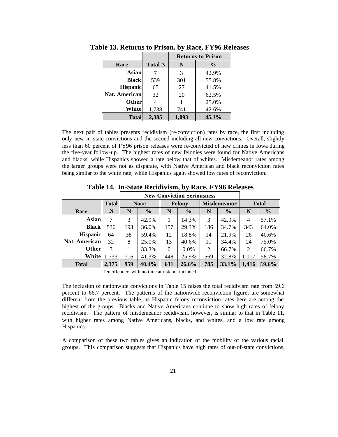|                      |                |       | <b>Returns to Prison</b> |
|----------------------|----------------|-------|--------------------------|
| Race                 | <b>Total N</b> | N     | $\frac{6}{9}$            |
| <b>Asian</b>         |                | 3     | 42.9%                    |
| <b>Black</b>         | 539            | 301   | 55.8%                    |
| <b>Hispanic</b>      | 65             | 27    | 41.5%                    |
| <b>Nat. American</b> | 32             | 20    | 62.5%                    |
| Other                |                |       | 25.0%                    |
| White                | 1,738          | 741   | 42.6%                    |
| <b>Total</b>         | 2,385          | 1,093 | 45.3%                    |

**Table 13. Returns to Prison, by Race, FY96 Releases**

The next pair of tables presents recidivism (re-conviction) rates by race, the first including only new in-state convictions and the second including all new convictions. Overall, slightly less than 60 percent of FY96 prison releases were re-convicted of new crimes in Iowa during the five-year follow-up. The highest rates of new felonies were found for Native Americans and blacks, while Hispanics showed a rate below that of whites. Misdemeanor rates among the larger groups were not as disparate, with Native American and black reconviction rates being similar to the white rate, while Hispanics again showed low rates of reconviction.

|                 |              |                    | <b>New Conviction Seriousness</b> |          |               |     |                    |              |               |
|-----------------|--------------|--------------------|-----------------------------------|----------|---------------|-----|--------------------|--------------|---------------|
|                 | <b>Total</b> |                    | <b>None</b>                       |          | <b>Felony</b> |     | <b>Misdemeanor</b> | <b>Total</b> |               |
| Race            | N            | $\frac{0}{0}$<br>N |                                   | N        | $\frac{0}{0}$ | N   | $\frac{0}{0}$      | N            | $\frac{6}{6}$ |
| Asian           | 7            | 3                  | 42.9%                             |          | 14.3%         | 3   | 42.9%              | 4            | 57.1%         |
| <b>Black</b>    | 536          | 193                | 36.0%                             | 157      | 29.3%         | 186 | 34.7%              | 343          | 64.0%         |
| <b>Hispanic</b> | 64           | 38                 | 59.4%                             | 12       | 18.8%         | 14  | 21.9%              | 26           | 40.6%         |
| Nat. American   | 32           | 8                  | 25.0%                             | 13       | 40.6%         | 11  | 34.4%              | 24           | 75.0%         |
| Other           | 3            |                    | 33.3%                             | $\theta$ | $0.0\%$       | 2   | 66.7%              | 2            | 66.7%         |
| White           | 1,733        | 716                | 41.3%                             | 448      | 25.9%         | 569 | 32.8%              | 1,017        | 58.7%         |
| <b>Total</b>    | 2,375        | 959                | 40.4%                             | 631      | 26.6%         | 785 | 33.1%              | 1,416        | $59.6\%$      |

**Table 14. In-State Recidivism, by Race, FY96 Releases**

Ten offenders with no time at risk not included.

The inclusion of nationwide convictions in Table 15 raises the total recidivism rate from 59.6 percent to 66.7 percent. The patterns of the nationwide reconviction figures are somewhat different from the previous table, as Hispanic felony reconviction rates here are among the highest of the groups. Blacks and Native Americans continue to show high rates of felony recidivism. The pattern of misdemeanor recidivism, however, is similar to that in Table 11, with higher rates among Native Americans, blacks, and whites, and a low rate among Hispanics.

A comparison of these two tables gives an indication of the mobility of the various racial groups. This comparison suggests that Hispanics have high rates of out-of-state convictions,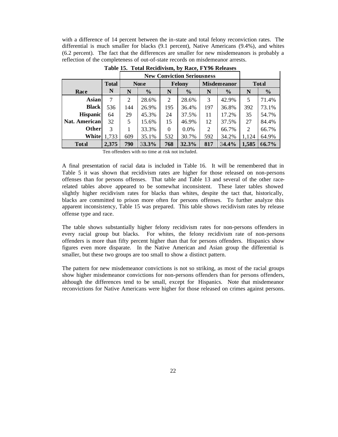with a difference of 14 percent between the in-state and total felony reconviction rates. The differential is much smaller for blacks (9.1 percent), Native Americans (9.4%), and whites (6.2 percent). The fact that the differences are smaller for new misdemeanors is probably a reflection of the completeness of out-of-state records on misdemeanor arrests.

|                 |              |                    | <b>New Conviction Seriousness</b> |          |               |     |                    |              |               |
|-----------------|--------------|--------------------|-----------------------------------|----------|---------------|-----|--------------------|--------------|---------------|
|                 | <b>Total</b> |                    | <b>None</b>                       |          | <b>Felony</b> |     | <b>Misdemeanor</b> | <b>Total</b> |               |
| Race            | N            | $\frac{0}{0}$<br>N |                                   | N        | $\frac{0}{0}$ | N   | $\frac{6}{9}$      | N            | $\frac{0}{0}$ |
| Asian           | 7            | 2                  | 28.6%                             | 2        | 28.6%         | 3   | 42.9%              | 5            | 71.4%         |
| <b>Black</b>    | 536          | 144                | 26.9%                             | 195      | 36.4%         | 197 | 36.8%              | 392          | 73.1%         |
| <b>Hispanic</b> | 64           | 29                 | 45.3%                             | 24       | 37.5%         | 11  | 17.2%              | 35           | 54.7%         |
| Nat. American   | 32           | 5                  | 15.6%                             | 15       | 46.9%         | 12  | 37.5%              | 27           | 84.4%         |
| Otherl          | 3            |                    | 33.3%                             | $\Omega$ | $0.0\%$       | 2   | 66.7%              | 2            | 66.7%         |
| White           | 1,733        | 609                | 35.1%                             |          | 30.7%         | 592 | 34.2%              | 1,124        | 64.9%         |
| <b>Total</b>    | 2,375        | 790                | 33.3%                             | 768      | 32.3%         | 817 | 34.4%              | 1,585        | 66.7%         |

**Table 15. Total Recidivism, by Race, FY96 Releases**

Ten offenders with no time at risk not included.

A final presentation of racial data is included in Table 16. It will be remembered that in Table 5 it was shown that recidivism rates are higher for those released on non-persons offenses than for persons offenses. That table and Table 13 and several of the other racerelated tables above appeared to be somewhat inconsistent. These later tables showed slightly higher recidivism rates for blacks than whites, despite the tact that, historically, blacks are committed to prison more often for persons offenses. To further analyze this apparent inconsistency, Table 15 was prepared. This table shows recidivism rates by release offense type and race.

The table shows substantially higher felony recidivism rates for non-persons offenders in every racial group but blacks. For whites, the felony recidivism rate of non-persons offenders is more than fifty percent higher than that for persons offenders. Hispanics show figures even more disparate. In the Native American and Asian group the differential is smaller, but these two groups are too small to show a distinct pattern.

The pattern for new misdemeanor convictions is not so striking, as most of the racial groups show higher misdemeanor convictions for non-persons offenders than for persons offenders, although the differences tend to be small, except for Hispanics. Note that misdemeanor reconvictions for Native Americans were higher for those released on crimes against persons.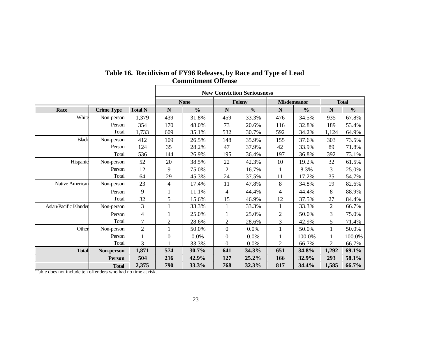|                        |                   |                          | <b>New Conviction Seriousness</b> |               |                  |               |                |                    |                |               |
|------------------------|-------------------|--------------------------|-----------------------------------|---------------|------------------|---------------|----------------|--------------------|----------------|---------------|
|                        |                   |                          |                                   | <b>None</b>   |                  | Felony        |                | <b>Misdemeanor</b> |                | <b>Total</b>  |
| Race                   | <b>Crime Type</b> | <b>Total N</b>           | ${\bf N}$                         | $\frac{0}{0}$ | $\mathbf N$      | $\frac{0}{0}$ | $\mathbf N$    | $\frac{0}{0}$      | ${\bf N}$      | $\frac{0}{0}$ |
| White                  | Non-person        | 1,379                    | 439                               | 31.8%         | 459              | 33.3%         | 476            | 34.5%              | 935            | 67.8%         |
|                        | Person            | 354                      | 170                               | 48.0%         | 73               | 20.6%         | 116            | 32.8%              | 189            | 53.4%         |
|                        | Total             | 1,733                    | 609                               | 35.1%         | 532              | 30.7%         | 592            | 34.2%              | 1,124          | 64.9%         |
| <b>Black</b>           | Non-person        | 412                      | 109                               | 26.5%         | 148              | 35.9%         | 155            | 37.6%              | 303            | 73.5%         |
|                        | Person            | 124                      | 35                                | 28.2%         | 47               | 37.9%         | 42             | 33.9%              | 89             | 71.8%         |
|                        | Total             | 536                      | 144                               | 26.9%         | 195              | 36.4%         | 197            | 36.8%              | 392            | 73.1%         |
| Hispanic               | Non-person        | 52                       | 20                                | 38.5%         | 22               | 42.3%         | 10             | 19.2%              | 32             | 61.5%         |
|                        | Person            | 12                       | 9                                 | 75.0%         | $\overline{2}$   | 16.7%         | 1              | 8.3%               | 3              | 25.0%         |
|                        | Total             | 64                       | 29                                | 45.3%         | 24               | 37.5%         | 11             | 17.2%              | 35             | 54.7%         |
| Native American        | Non-person        | 23                       | $\overline{4}$                    | 17.4%         | 11               | 47.8%         | 8              | 34.8%              | 19             | 82.6%         |
|                        | Person            | 9                        |                                   | 11.1%         | $\overline{4}$   | 44.4%         | 4              | 44.4%              | 8              | 88.9%         |
|                        | Total             | 32                       | 5                                 | 15.6%         | 15               | 46.9%         | 12             | 37.5%              | 27             | 84.4%         |
| Asian/Pacific Islander | Non-person        | 3                        | $\mathbf{1}$                      | 33.3%         | 1                | 33.3%         | $\mathbf{1}$   | 33.3%              | $\overline{2}$ | 66.7%         |
|                        | Person            | $\overline{\mathcal{A}}$ |                                   | 25.0%         | 1                | 25.0%         | $\overline{2}$ | 50.0%              | 3              | 75.0%         |
|                        | Total             | 7                        | $\overline{2}$                    | 28.6%         | $\overline{c}$   | 28.6%         | 3              | 42.9%              | 5              | 71.4%         |
| Other                  | Non-person        | $\overline{2}$           | $\mathbf{1}$                      | 50.0%         | $\mathbf{0}$     | 0.0%          | $\mathbf{1}$   | 50.0%              | 1              | 50.0%         |
|                        | Person            |                          | $\boldsymbol{0}$                  | 0.0%          | $\boldsymbol{0}$ | 0.0%          |                | 100.0%             |                | 100.0%        |
|                        | Total             | 3                        |                                   | 33.3%         | $\mathbf{0}$     | 0.0%          | $\overline{2}$ | 66.7%              | $\overline{2}$ | 66.7%         |
| <b>Total</b>           | Non-person        | 1,871                    | 574                               | 30.7%         | 641              | 34.3%         | 651            | 34.8%              | 1,292          | 69.1%         |
|                        | <b>Person</b>     | 504                      | 216                               | 42.9%         | 127              | 25.2%         | 166            | 32.9%              | 293            | 58.1%         |
|                        | <b>Total</b>      | 2,375                    | 790                               | 33.3%         | 768              | 32.3%         | 817            | 34.4%              | 1,585          | 66.7%         |

## **Table 16. Recidivism of FY96 Releases, by Race and Type of Lead Commitment Offense**

Table does not include ten offenders who had no time at risk.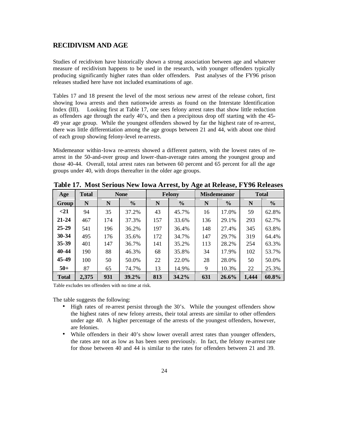### **RECIDIVISM AND AGE**

Studies of recidivism have historically shown a strong association between age and whatever measure of recidivism happens to be used in the research, with younger offenders typically producing significantly higher rates than older offenders. Past analyses of the FY96 prison releases studied here have not included examinations of age.

Tables 17 and 18 present the level of the most serious new arrest of the release cohort, first showing Iowa arrests and then nationwide arrests as found on the Interstate Identification Index (III). Looking first at Table 17, one sees felony arrest rates that show little reduction as offenders age through the early 40's, and then a precipitous drop off starting with the 45- 49 year age group. While the youngest offenders showed by far the highest rate of re-arrest, there was little differentiation among the age groups between 21 and 44, with about one third of each group showing felony-level re-arrests.

Misdemeanor within-Iowa re-arrests showed a different pattern, with the lowest rates of rearrest in the 50-and-over group and lower-than-average rates among the youngest group and those 40-44. Overall, total arrest rates ran between 60 percent and 65 percent for all the age groups under 40, with drops thereafter in the older age groups.

| Age          | <b>Total</b> | <b>None</b> |               |     | <b>Felony</b> |     | <b>Misdemeanor</b> | <b>Total</b> |               |  |
|--------------|--------------|-------------|---------------|-----|---------------|-----|--------------------|--------------|---------------|--|
| Group        | N            | N           | $\frac{6}{6}$ | N   | $\frac{6}{6}$ | N   | $\frac{6}{6}$      | N            | $\frac{6}{9}$ |  |
| $21$         | 94           | 35          | 37.2%         | 43  | 45.7%         | 16  | 17.0%              | 59           | 62.8%         |  |
| $21 - 24$    | 467          | 174         | 37.3%         | 157 | 33.6%         | 136 | 29.1%              | 293          | 62.7%         |  |
| $25 - 29$    | 541          | 196         | 36.2%         | 197 | 36.4%         | 148 | 27.4%              | 345          | 63.8%         |  |
| $30 - 34$    | 495          | 176         | 35.6%         | 172 | 34.7%         | 147 | 29.7%              | 319          | 64.4%         |  |
| 35-39        | 401          | 147         | 36.7%         | 141 | 35.2%         | 113 | 28.2%              | 254          | 63.3%         |  |
| 40-44        | 190          | 88          | 46.3%         | 68  | 35.8%         | 34  | 17.9%              | 102          | 53.7%         |  |
| 45-49        | 100          | 50          | 50.0%         | 22  | 22.0%         | 28  | 28.0%              | 50           | 50.0%         |  |
| $50+$        | 87           | 65          | 74.7%         | 13  | 14.9%         | 9   | 10.3%              | 22           | 25.3%         |  |
| <b>Total</b> | 2,375        | 931         | 39.2%         | 813 | 34.2%         | 631 | 26.6%              | 1,444        | 60.8%         |  |

**Table 17. Most Serious New Iowa Arrest, by Age at Release, FY96 Releases**

Table excludes ten offenders with no time at risk.

The table suggests the following:

- High rates of re-arrest persist through the 30's. While the youngest offenders show the highest rates of new felony arrests, their total arrests are similar to other offenders under age 40. A higher percentage of the arrests of the youngest offenders, however, are felonies.
- While offenders in their 40's show lower overall arrest rates than younger offenders, the rates are not as low as has been seen previously. In fact, the felony re-arrest rate for those between 40 and 44 is similar to the rates for offenders between 21 and 39.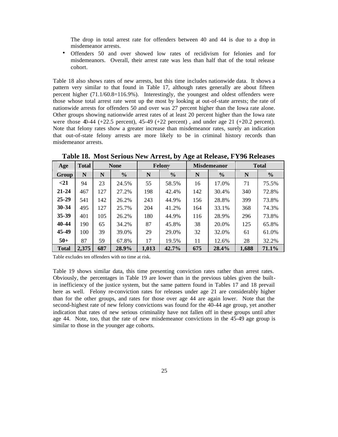The drop in total arrest rate for offenders between 40 and 44 is due to a drop in misdemeanor arrests.

• Offenders 50 and over showed low rates of recidivism for felonies and for misdemeanors. Overall, their arrest rate was less than half that of the total release cohort.

Table 18 also shows rates of new arrests, but this time includes nationwide data. It shows a pattern very similar to that found in Table 17, although rates generally are about fifteen percent higher (71.1/60.8=116.9%). Interestingly, the youngest and oldest offenders were those whose total arrest rate went up the most by looking at out-of-state arrests; the rate of nationwide arrests for offenders 50 and over was 27 percent higher than the Iowa rate alone. Other groups showing nationwide arrest rates of at least 20 percent higher than the Iowa rate were those 40-44 (+22.5 percent),  $45-49$  (+22 percent), and under age 21 (+20.2 percent). Note that felony rates show a greater increase than misdemeanor rates, surely an indication that out-of-state felony arrests are more likely to be in criminal history records than misdemeanor arrests.

| Age          | <b>Total</b> | <b>None</b> |               |       | Felony        |     | <b>Misdemeanor</b> | <b>Total</b> |               |  |
|--------------|--------------|-------------|---------------|-------|---------------|-----|--------------------|--------------|---------------|--|
| Group        | N            | N           | $\frac{0}{0}$ | N     | $\frac{0}{0}$ | N   | $\frac{0}{0}$      | N            | $\frac{6}{6}$ |  |
| $21$         | 94           | 23          | 24.5%         | 55    | 58.5%         | 16  | 17.0%              | 71           | 75.5%         |  |
| $21 - 24$    | 467          | 127         | 27.2%         | 198   | 42.4%         | 142 | 30.4%              | 340          | 72.8%         |  |
| $25 - 29$    | 541          | 142         | 26.2%         | 243   | 44.9%         | 156 | 28.8%              | 399          | 73.8%         |  |
| $30 - 34$    | 495          | 127         | 25.7%         | 204   | 41.2%         | 164 | 33.1%              | 368          | 74.3%         |  |
| $35 - 39$    | 401          | 105         | 26.2%         | 180   | 44.9%         | 116 | 28.9%              | 296          | 73.8%         |  |
| 40-44        | 190          | 65          | 34.2%         | 87    | 45.8%         | 38  | 20.0%              | 125          | 65.8%         |  |
| 45-49        | 100          | 39          | 39.0%         | 29    | 29.0%         | 32  | 32.0%              | 61           | 61.0%         |  |
| $50+$        | 87           | 59          | 67.8%         | 17    | 19.5%         | 11  | 12.6%              | 28           | 32.2%         |  |
| <b>Total</b> | 2,375        | 687         | 28.9%         | 1,013 | 42.7%         | 675 | 28.4%              | 1,688        | 71.1%         |  |

**Table 18. Most Serious New Arrest, by Age at Release, FY96 Releases**

Table excludes ten offenders with no time at risk.

Table 19 shows similar data, this time presenting conviction rates rather than arrest rates. Obviously, the percentages in Table 19 are lower than in the previous tables given the builtin inefficiency of the justice system, but the same pattern found in Tables 17 and 18 prevail here as well. Felony re-conviction rates for releases under age 21 are considerably higher than for the other groups, and rates for those over age 44 are again lower. Note that the second-highest rate of new felony convictions was found for the 40-44 age group, yet another indication that rates of new serious criminality have not fallen off in these groups until after age 44. Note, too, that the rate of new misdemeanor convictions in the 45-49 age group is similar to those in the younger age cohorts.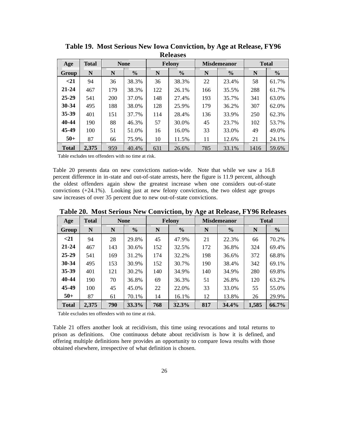| Age          | <b>Total</b> |     | <b>None</b>   |     | Felony        |     | <b>Misdemeanor</b> | <b>Total</b> |               |  |  |  |  |
|--------------|--------------|-----|---------------|-----|---------------|-----|--------------------|--------------|---------------|--|--|--|--|
| Group        | N            | N   | $\frac{6}{6}$ | N   | $\frac{0}{0}$ | N   | $\frac{6}{6}$      | N            | $\frac{6}{6}$ |  |  |  |  |
| $21$         | 94           | 36  | 38.3%         | 36  | 38.3%         | 22  | 23.4%              | 58           | 61.7%         |  |  |  |  |
| $21 - 24$    | 467          | 179 | 38.3%         | 122 | 26.1%         | 166 | 35.5%              | 288          | 61.7%         |  |  |  |  |
| $25 - 29$    | 541          | 200 | 37.0%         | 148 | 27.4%         | 193 | 35.7%              | 341          | 63.0%         |  |  |  |  |
| $30 - 34$    | 495          | 188 | 38.0%         | 128 | 25.9%         | 179 | 36.2%              | 307          | 62.0%         |  |  |  |  |
| $35 - 39$    | 401          | 151 | 37.7%         | 114 | 28.4%         | 136 | 33.9%              | 250          | 62.3%         |  |  |  |  |
| 40-44        | 190          | 88  | 46.3%         | 57  | 30.0%         | 45  | 23.7%              | 102          | 53.7%         |  |  |  |  |
| 45-49        | 100          | 51  | 51.0%         | 16  | 16.0%         | 33  | 33.0%              | 49           | 49.0%         |  |  |  |  |
| $50+$        | 87           | 66  | 75.9%         | 10  | 11.5%         | 11  | 12.6%              | 21           | 24.1%         |  |  |  |  |
| <b>Total</b> | 2,375        | 959 | 40.4%         | 631 | 26.6%         | 785 | 33.1%              | 1416         | 59.6%         |  |  |  |  |

**Table 19. Most Serious New Iowa Conviction, by Age at Release, FY96 Releases**

Table excludes ten offenders with no time at risk.

Table 20 presents data on new convictions nation-wide. Note that while we saw a 16.8 percent difference in in-state and out-of-state arrests, here the figure is 11.9 percent, although the oldest offenders again show the greatest increase when one considers out-of-state convictions (+24.1%). Looking just at new felony convictions, the two oldest age groups saw increases of over 35 percent due to new out-of-state convictions.

**Table 20. Most Serious New Conviction, by Age at Release, FY96 Releases**

| Age          | <b>Total</b> |     | <b>None</b>   |     | <b>Felony</b> |     | <b>Misdemeanor</b> | <b>Total</b> |               |  |
|--------------|--------------|-----|---------------|-----|---------------|-----|--------------------|--------------|---------------|--|
| Group        | N            | N   | $\frac{0}{0}$ | N   | $\frac{0}{0}$ | N   | $\frac{0}{0}$      | N            | $\frac{6}{6}$ |  |
| $21$         | 94           | 28  | 29.8%         | 45  | 47.9%         | 21  | 22.3%              | 66           | 70.2%         |  |
| $21 - 24$    | 467          | 143 | 30.6%         | 152 | 32.5%         | 172 | 36.8%              | 324          | 69.4%         |  |
| $25 - 29$    | 541          | 169 | 31.2%         | 174 | 32.2%         | 198 | 36.6%              | 372          | 68.8%         |  |
| 30-34        | 495          | 153 | 30.9%         | 152 | 30.7%         | 190 | 38.4%              | 342          | 69.1%         |  |
| 35-39        | 401          | 121 | 30.2%         | 140 | 34.9%         | 140 | 34.9%              | 280          | 69.8%         |  |
| 40-44        | 190          | 70  | 36.8%         | 69  | 36.3%         | 51  | 26.8%              | 120          | 63.2%         |  |
| 45-49        | 100          | 45  | 45.0%         | 22  | 22.0%         | 33  | 33.0%              | 55           | 55.0%         |  |
| $50+$        | 87           | 61  | 70.1%         | 14  | 16.1%         | 12  | 13.8%              | 26           | 29.9%         |  |
| <b>Total</b> | 2,375        | 790 | 33.3%         | 768 | 32.3%         | 817 | 34.4%              | 1,585        | 66.7%         |  |

Table excludes ten offenders with no time at risk.

Table 21 offers another look at recidivism, this time using revocations and total returns to prison as definitions. One continuous debate about recidivism is how it is defined, and offering multiple definitions here provides an opportunity to compare Iowa results with those obtained elsewhere, irrespective of what definition is chosen.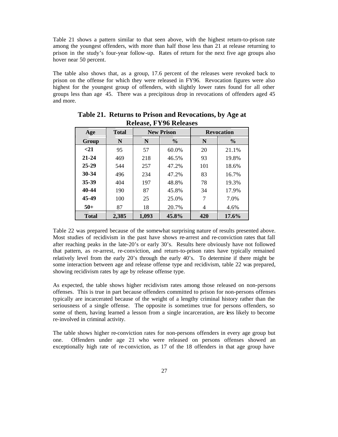Table 21 shows a pattern similar to that seen above, with the highest return-to-prison rate among the youngest offenders, with more than half those less than 21 at release returning to prison in the study's four-year follow-up. Rates of return for the next five age groups also hover near 50 percent.

The table also shows that, as a group, 17.6 percent of the releases were revoked back to prison on the offense for which they were released in FY96. Revocation figures were also highest for the youngest group of offenders, with slightly lower rates found for all other groups less than age 45. There was a precipitous drop in revocations of offenders aged 45 and more.

| Age          | <b>Total</b> |       | <b>New Prison</b> |     | <b>Revocation</b> |
|--------------|--------------|-------|-------------------|-----|-------------------|
| Group        | N            | N     | $\frac{6}{6}$     | N   | $\frac{6}{6}$     |
| $21$         | 95           | 57    | 60.0%             | 20  | 21.1%             |
| $21 - 24$    | 469          | 218   | 46.5%             | 93  | 19.8%             |
| $25 - 29$    | 544          | 257   | 47.2%             | 101 | 18.6%             |
| $30 - 34$    | 496          | 234   | 47.2%             | 83  | 16.7%             |
| 35-39        | 404          | 197   | 48.8%             | 78  | 19.3%             |
| 40-44        | 190          | 87    | 45.8%             | 34  | 17.9%             |
| 45-49        | 100          | 25    | 25.0%             | 7   | 7.0%              |
| $50+$        | 87           | 18    | 20.7%             | 4   | 4.6%              |
| <b>Total</b> | 2,385        | 1,093 | 45.8%             | 420 | 17.6%             |

**Table 21. Returns to Prison and Revocations, by Age at Release, FY96 Releases**

Table 22 was prepared because of the somewhat surprising nature of results presented above. Most studies of recidivism in the past have shows re-arrest and re-conviction rates that fall after reaching peaks in the late-20's or early 30's. Results here obviously have not followed that pattern, as re-arrest, re-conviction, and return-to-prison rates have typically remained relatively level from the early 20's through the early 40's. To determine if there might be some interaction between age and release offense type and recidivism, table 22 was prepared, showing recidivism rates by age by release offense type.

As expected, the table shows higher recidivism rates among those released on non-persons offenses. This is true in part because offenders committed to prison for non-persons offenses typically are incarcerated because of the weight of a lengthy criminal history rather than the seriousness of a single offense. The opposite is sometimes true for persons offenders, so some of them, having learned a lesson from a single incarceration, are less likely to become re-involved in criminal activity.

The table shows higher re-conviction rates for non-persons offenders in every age group but one. Offenders under age 21 who were released on persons offenses showed an exceptionally high rate of re-conviction, as 17 of the 18 offenders in that age group have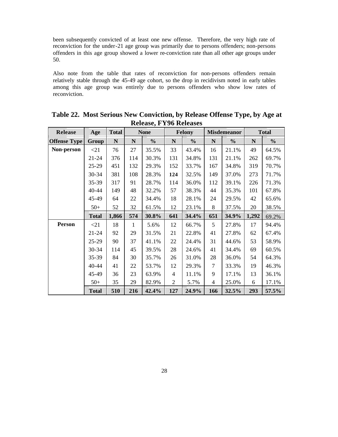been subsequently convicted of at least one new offense. Therefore, the very high rate of reconviction for the under-21 age group was primarily due to persons offenders; non-persons offenders in this age group showed a lower re-conviction rate than all other age groups under 50.

Also note from the table that rates of reconviction for non-persons offenders remain relatively stable through the 45-49 age cohort, so the drop in recidivism noted in early tables among this age group was entirely due to persons offenders who show low rates of reconviction.

| Release             | Age          | <b>Total</b> |              | <b>None</b>   |                | <b>Felony</b> |                | <b>Misdemeanor</b> |             | <b>Total</b>  |
|---------------------|--------------|--------------|--------------|---------------|----------------|---------------|----------------|--------------------|-------------|---------------|
| <b>Offense Type</b> | Group        | $\mathbf N$  | ${\bf N}$    | $\frac{0}{0}$ | ${\bf N}$      | $\frac{0}{0}$ | $\mathbf N$    | $\frac{0}{0}$      | $\mathbf N$ | $\frac{0}{0}$ |
| Non-person          | $\leq$ 21    | 76           | 27           | 35.5%         | 33             | 43.4%         | 16             | 21.1%              | 49          | 64.5%         |
|                     | $21 - 24$    | 376          | 114          | 30.3%         | 131            | 34.8%         | 131            | 21.1%              | 262         | 69.7%         |
|                     | $25-29$      | 451          | 132          | 29.3%         | 152            | 33.7%         | 167            | 34.8%              | 319         | 70.7%         |
|                     | 30-34        | 381          | 108          | 28.3%         | 124            | 32.5%         | 149            | 37.0%              | 273         | 71.7%         |
|                     | 35-39        | 317          | 91           | 28.7%         | 114            | 36.0%         | 112            | 39.1%              | 226         | 71.3%         |
|                     | 40-44        | 149          | 48           | 32.2%         | 57             | 38.3%         | 44             | 35.3%              | 101         | 67.8%         |
|                     | 45-49        | 64           | 22           | 34.4%         | 18             | 28.1%         | 24             | 29.5%              | 42          | 65.6%         |
|                     | $50+$        | 52           | 32           | 61.5%         | 12             | 23.1%         | 8              | 37.5%              | 20          | 38.5%         |
|                     | <b>Total</b> | 1,866        | 574          | 30.8%         | 641            | 34.4%         | 651            | 34.9%              | 1,292       | 69.2%         |
| <b>Person</b>       | <21          | 18           | $\mathbf{1}$ | 5.6%          | 12             | 66.7%         | 5              | 27.8%              | 17          | 94.4%         |
|                     | $21 - 24$    | 92           | 29           | 31.5%         | 21             | 22.8%         | 41             | 27.8%              | 62          | 67.4%         |
|                     | $25-29$      | 90           | 37           | 41.1%         | 22             | 24.4%         | 31             | 44.6%              | 53          | 58.9%         |
|                     | 30-34        | 114          | 45           | 39.5%         | 28             | 24.6%         | 41             | 34.4%              | 69          | 60.5%         |
|                     | 35-39        | 84           | 30           | 35.7%         | 26             | 31.0%         | 28             | 36.0%              | 54          | 64.3%         |
|                     | $40 - 44$    | 41           | 22           | 53.7%         | 12             | 29.3%         | $\tau$         | 33.3%              | 19          | 46.3%         |
|                     | 45-49        | 36           | 23           | 63.9%         | $\overline{4}$ | 11.1%         | 9              | 17.1%              | 13          | 36.1%         |
|                     | $50+$        | 35           | 29           | 82.9%         | $\overline{2}$ | 5.7%          | $\overline{4}$ | 25.0%              | 6           | 17.1%         |
|                     | <b>Total</b> | 510          | 216          | 42.4%         | 127            | 24.9%         | 166            | 32.5%              | 293         | 57.5%         |

**Table 22. Most Serious New Conviction, by Release Offense Type, by Age at Release, FY96 Releases**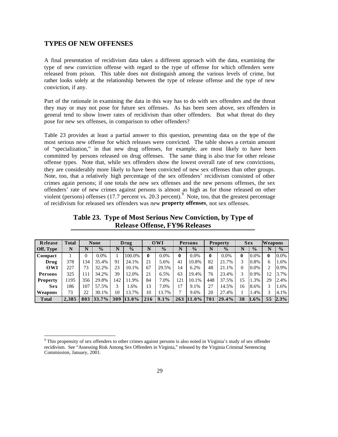#### **TYPES OF NEW OFFENSES**

j

A final presentation of recidivism data takes a different approach with the data, examining the type of new conviction offense with regard to the type of offense for which offenders were released from prison. This table does not distinguish among the various levels of crime, but rather looks solely at the relationship between the type of release offense and the type of new conviction, if any.

Part of the rationale in examining the data in this way has to do with sex offenders and the threat they may or may not pose for future sex offenses. As has been seen above, sex offenders in general tend to show lower rates of recidivism than other offenders. But what threat do they pose for new sex offenses, in comparison to other offenders?

Table 23 provides at least a partial answer to this question, presenting data on the type of the most serious new offense for which releases were convicted. The table shows a certain amount of "specialization," in that new drug offenses, for example, are most likely to have been committed by persons released on drug offenses. The same thing is also true for other release offense types. Note that, while sex offenders show the lowest overall rate of new convictions, they are considerably more likely to have been convicted of new sex offenses than other groups. Note, too, that a relatively high percentage of the sex offenders' recidivism consisted of other crimes again persons; if one totals the new sex offenses and the new persons offenses, the sex offenders' rate of new crimes against persons is almost as high as for those released on other violent (persons) offenses (17.7 percent vs. 20.3 percent). Note, too, that the greatest percentage of recidivism for released sex offenders was new **property offenses**, not sex offenses.

**Table 23. Type of Most Serious New Conviction, by Type of Release Offense, FY96 Releases**

| Release         | <b>Total</b> |     | <b>None</b>   |     | Drug          |     | 0WI           |              | Persons       |     | <b>Property</b> |    | <b>Sex</b>    | Weapons |               |
|-----------------|--------------|-----|---------------|-----|---------------|-----|---------------|--------------|---------------|-----|-----------------|----|---------------|---------|---------------|
| Off, Type       | N            | N   | $\frac{0}{0}$ | N   | $\frac{0}{0}$ |     | $\frac{0}{0}$ | N            | $\frac{0}{0}$ | N   | $\frac{0}{0}$   |    | $\frac{0}{0}$ |         | $\frac{0}{0}$ |
| Compact         |              | 0   | $0.0\%$       |     | 100.0%        | 0   | 0.0%          | $\mathbf{0}$ | $0.0\%$       | 0   | $0.0\%$         | 0  | $0.0\%$       | 0       | $0.0\%$       |
| Drug            | 378          | 34  | 35.4%         | 91  | 24.1%         | 21  | 5.6%          | 41           | 10.8%         | 82  | 21.7%           | 3  | 0.8%          | 6       | 1.6%          |
| OWI             | 227          | 73  | 32.2%         | 23  | 10.1%         | 67  | 29.5%         | 14           | 6.2%          | 48  | 21.1%           | 0  | $0.0\%$       | 2       | 0.9%          |
| Persons         | 325          | 111 | 34.2%         | 39  | 12.0%         | 21  | 6.5%          | 63           | 19.4%         | 76  | 23.4%           | 3  | 0.9%          | 12      | 3.7%          |
| <b>Property</b> | 195          | 356 | 29.8%         | 142 | 11.9%         | 84  | 7.0%          | 121          | 10.1%         | 448 | 37.5%           | 15 | 1.3%          | 29      | 2.4%          |
| <b>Sex</b>      | 186          | 107 | 57.5%         | 3   | 1.6%          | 13  | 7.0%          | 17           | 9.1%          | 27  | 14.5%           | 16 | 8.6%          | 3       | 1.6%          |
| Weapons         | 73           | 22  | 30.1%         | 10  | 13.7%         | 10  | 13.7%         | $\mathbf{r}$ | 9.6%          | 20  | 27.4%           |    | 1.4%          | 3       | 4.1%          |
| <b>T</b> otal   | 2.385        | 803 | 33.7%         | 309 | 13.0%         | 216 | 9.1%          | 263          | $11.0\%$      | 701 | 29.4%           | 38 | $1.6\%$       | 55      | 2.3%          |

<sup>&</sup>lt;sup>9</sup> This propensity of sex offenders to other crimes against persons is also noted in Virginia's study of sex offender recidivism. See "Assessing Risk Among Sex Offenders in Virginia," released by the Virginia Criminal Sentencing Commission, January, 2001.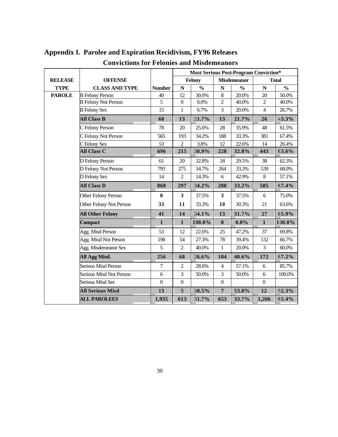|                |                            |                | <b>Most Serious Post-Program Conviction*</b> |                          |                         |                    |                    |                          |  |  |  |
|----------------|----------------------------|----------------|----------------------------------------------|--------------------------|-------------------------|--------------------|--------------------|--------------------------|--|--|--|
| <b>RELEASE</b> | <b>OFFENSE</b>             |                |                                              | Felony                   |                         | <b>Misdemeanor</b> |                    | <b>Total</b>             |  |  |  |
| <b>TYPE</b>    | <b>CLASS AND TYPE</b>      | <b>Number</b>  | $\mathbf N$                                  | $\overline{\frac{0}{0}}$ | $\mathbf N$             | $\frac{0}{0}$      | $\overline{\bf N}$ | $\overline{\frac{0}{0}}$ |  |  |  |
| <b>PAROLE</b>  | <b>B</b> Felony Person     | $40\,$         | 12                                           | 30.0%                    | $\,8\,$                 | 20.0%              | 20                 | 50.0%                    |  |  |  |
|                | <b>B</b> Felony Not Person | 5              | $\boldsymbol{0}$                             | 0.0%                     | $\overline{2}$          | 40.0%              | $\overline{2}$     | 40.0%                    |  |  |  |
|                | <b>B</b> Felony Sex        | 15             | $\mathbf{1}$                                 | 6.7%                     | $\overline{3}$          | 20.0%              | $\overline{4}$     | 26.7%                    |  |  |  |
|                | <b>All Class B</b>         | 60             | 13                                           | 21.7%                    | 13                      | 21.7%              | 26                 | 43.3%                    |  |  |  |
|                | C Felony Person            | 78             | 20                                           | 25.6%                    | 28                      | 35.9%              | 48                 | 61.5%                    |  |  |  |
|                | C Felony Not Person        | 565            | 193                                          | 34.2%                    | 188                     | 33.3%              | 381                | 67.4%                    |  |  |  |
|                | C Felony Sex               | 53             | $\overline{2}$                               | 3.8%                     | 12                      | 22.6%              | 14                 | 26.4%                    |  |  |  |
|                | <b>All Class C</b>         | 696            | 215                                          | 30.9%                    | 228                     | 32.8%              | 443                | 63.6%                    |  |  |  |
|                | D Felony Person            | 61             | 20                                           | 32.8%                    | 18                      | 29.5%              | 38                 | 62.3%                    |  |  |  |
|                | D Felony Not Person        | 793            | 275                                          | 34.7%                    | 264                     | 33.3%              | 539                | 68.0%                    |  |  |  |
|                | D Felony Sex               | 14             | $\overline{c}$                               | 14.3%                    | 6                       | 42.9%              | $\,8\,$            | 57.1%                    |  |  |  |
|                | <b>All Class D</b>         | 868            | 297                                          | 34.2%                    | 288                     | 33.2%              | 585                | 67.4%                    |  |  |  |
|                | Other Felony Person        | 8              | $\overline{\mathbf{3}}$                      | 37.5%                    | $\overline{\mathbf{3}}$ | 37.5%              | 6                  | 75.0%                    |  |  |  |
|                | Other Felony Not Person    | 33             | 11                                           | 33.3%                    | 10                      | 30.3%              | 21                 | 63.6%                    |  |  |  |
|                | <b>All Other Felony</b>    | 41             | 14                                           | 34.1%                    | 13                      | 31.7%              | 27                 | 65.9%                    |  |  |  |
|                | Compact                    | $\mathbf{1}$   | $\mathbf{1}$                                 | 100.0%                   | $\bf{0}$                | $0.0\%$            | $\mathbf{1}$       | 100.0%                   |  |  |  |
|                | Agg. Misd Person           | 53             | 12                                           | 22.6%                    | 25                      | 47.2%              | 37                 | 69.8%                    |  |  |  |
|                | Agg. Misd Not Person       | 198            | 54                                           | 27.3%                    | 78                      | 39.4%              | 132                | 66.7%                    |  |  |  |
|                | Agg. Misdemeanor Sex       | 5              | $\overline{2}$                               | 40.0%                    | $\mathbf{1}$            | 20.0%              | 3                  | 60.0%                    |  |  |  |
|                | All Agg Misd.              | 256            | 68                                           | 26.6%                    | 104                     | 40.6%              | 172                | 67.2%                    |  |  |  |
|                | <b>Serious Misd Person</b> | $\overline{7}$ | $\overline{2}$                               | 28.6%                    | $\overline{4}$          | 57.1%              | 6                  | 85.7%                    |  |  |  |
|                | Serious Misd Not Person    | $\sqrt{6}$     | 3                                            | 50.0%                    | 3                       | 50.0%              | 6                  | 100.0%                   |  |  |  |
|                | Serious Misd Sex           | $\mathbf{0}$   | $\mathbf{0}$                                 |                          | $\boldsymbol{0}$        |                    | $\boldsymbol{0}$   |                          |  |  |  |
|                | <b>All Serious Misd</b>    | 13             | 5                                            | 38.5%                    | $\overline{7}$          | 53.8%              | 12                 | 92.3%                    |  |  |  |
|                | <b>ALL PAROLEES</b>        | 1,935          | 613                                          | 31.7%                    | 653                     | 33.7%              | 1,266              | 65.4%                    |  |  |  |

## **Appendix I. Parolee and Expiration Recidivism, FY96 Releases Convictions for Felonies and Misdemeanors**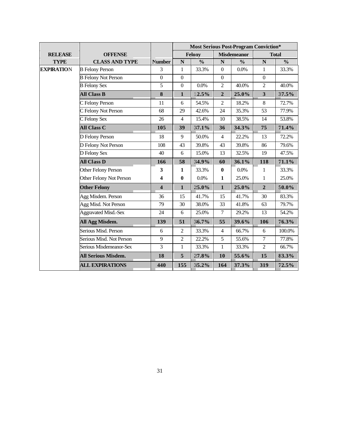|                   |                             |                         |                         | <b>Most Serious Post-Program Conviction*</b> |                         |                    |                         |                          |
|-------------------|-----------------------------|-------------------------|-------------------------|----------------------------------------------|-------------------------|--------------------|-------------------------|--------------------------|
| <b>RELEASE</b>    | <b>OFFENSE</b>              |                         |                         | Felony                                       |                         | <b>Misdemeanor</b> |                         | <b>Total</b>             |
| <b>TYPE</b>       | <b>CLASS AND TYPE</b>       | <b>Number</b>           | $\overline{\mathbf{N}}$ | $\frac{0}{0}$                                | $\overline{\mathbf{N}}$ | $\frac{0}{0}$      | $\overline{\mathbf{N}}$ | $\overline{\frac{0}{0}}$ |
| <b>EXPIRATION</b> | <b>B</b> Felony Person      | 3                       | $\mathbf{1}$            | 33.3%                                        | $\mathbf{0}$            | 0.0%               | $\mathbf{1}$            | 33.3%                    |
|                   | <b>B</b> Felony Not Person  | $\overline{0}$          | $\overline{0}$          |                                              | $\mathbf{0}$            |                    | $\boldsymbol{0}$        |                          |
|                   | <b>B</b> Felony Sex         | 5                       | $\boldsymbol{0}$        | $0.0\%$                                      | $\overline{2}$          | 40.0%              | $\overline{c}$          | 40.0%                    |
|                   | <b>All Class B</b>          | $\bf{8}$                | $\mathbf{1}$            | 12.5%                                        | $\overline{2}$          | 25.0%              | $\mathbf{3}$            | 37.5%                    |
|                   | C Felony Person             | 11                      | 6                       | 54.5%                                        | $\overline{2}$          | 18.2%              | $8\,$                   | 72.7%                    |
|                   | C Felony Not Person         | 68                      | 29                      | 42.6%                                        | 24                      | 35.3%              | 53                      | 77.9%                    |
|                   | C Felony Sex                | 26                      | $\overline{4}$          | 15.4%                                        | 10                      | 38.5%              | 14                      | 53.8%                    |
|                   | <b>All Class C</b>          | 105                     | 39                      | 37.1%                                        | 36                      | 34.3%              | 75                      | 71.4%                    |
|                   | D Felony Person             | 18                      | 9                       | 50.0%                                        | $\overline{4}$          | 22.2%              | 13                      | 72.2%                    |
|                   | D Felony Not Person         | 108                     | 43                      | 39.8%                                        | 43                      | 39.8%              | 86                      | 79.6%                    |
|                   | D Felony Sex                | 40                      | 6                       | 15.0%                                        | 13                      | 32.5%              | 19                      | 47.5%                    |
|                   | <b>All Class D</b>          | 166                     | 58                      | 34.9%                                        | 60                      | 36.1%              | 118                     | 71.1%                    |
|                   | Other Felony Person         | 3                       | $\mathbf{1}$            | 33.3%                                        | $\bf{0}$                | 0.0%               | $\mathbf{1}$            | 33.3%                    |
|                   | Other Felony Not Person     | 4                       | $\bf{0}$                | 0.0%                                         | $\mathbf{1}$            | 25.0%              | $\mathbf{1}$            | 25.0%                    |
|                   | <b>Other Felony</b>         | $\overline{\mathbf{4}}$ | $\mathbf{1}$            | 25.0%                                        | $\mathbf{1}$            | 25.0%              | $\overline{2}$          | 50.0%                    |
|                   | Agg Misdem. Person          | 36                      | 15                      | 41.7%                                        | 15                      | 41.7%              | 30                      | 83.3%                    |
|                   | Agg Misd. Not Person        | 79                      | 30                      | 38.0%                                        | 33                      | 41.8%              | 63                      | 79.7%                    |
|                   | <b>Aggravated Misd.-Sex</b> | 24                      | 6                       | 25.0%                                        | $\overline{7}$          | 29.2%              | 13                      | 54.2%                    |
|                   | All Agg Misdem.             | 139                     | 51                      | 36.7%                                        | 55                      | 39.6%              | 106                     | 76.3%                    |
|                   | Serious Misd. Person        | 6                       | $\overline{2}$          | 33.3%                                        | $\overline{4}$          | 66.7%              | 6                       | 100.0%                   |
|                   | Serious Misd. Not Person    | 9                       | $\overline{2}$          | 22.2%                                        | 5                       | 55.6%              | $\overline{7}$          | 77.8%                    |
|                   | Serious Misdemeanor-Sex     | 3                       | $\mathbf{1}$            | 33.3%                                        | $\mathbf{1}$            | 33.3%              | $\overline{2}$          | 66.7%                    |
|                   | <b>All Serious Misdem.</b>  | 18                      | 5                       | 27.8%                                        | <b>10</b>               | 55.6%              | 15                      | 83.3%                    |
|                   | <b>ALL EXPIRATIONS</b>      | 440                     | 155                     | 35.2%                                        | 164                     | 37.3%              | 319                     | 72.5%                    |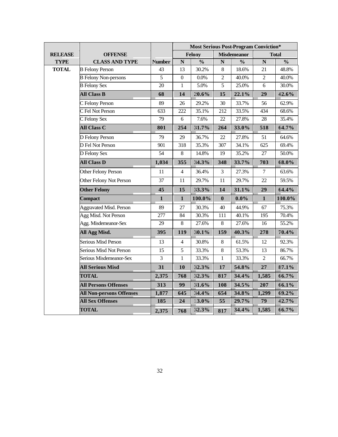|                |                                 |               |                  | <b>Most Serious Post-Program Conviction*</b> |                |                    |                         |               |
|----------------|---------------------------------|---------------|------------------|----------------------------------------------|----------------|--------------------|-------------------------|---------------|
| <b>RELEASE</b> | <b>OFFENSE</b>                  |               |                  | Felony                                       |                | <b>Misdemeanor</b> |                         | <b>Total</b>  |
| <b>TYPE</b>    | <b>CLASS AND TYPE</b>           | <b>Number</b> | $\mathbf N$      | $\frac{0}{0}$                                | $\mathbf N$    | $\frac{0}{0}$      | $\overline{\mathbf{N}}$ | $\frac{0}{0}$ |
| <b>TOTAL</b>   | <b>B</b> Felony Person          | 43            | 13               | 30.2%                                        | 8              | 18.6%              | 21                      | 48.8%         |
|                | <b>B</b> Felony Non-persons     | 5             | $\boldsymbol{0}$ | 0.0%                                         | $\overline{c}$ | 40.0%              | 2                       | 40.0%         |
|                | <b>B</b> Felony Sex             | 20            | 1                | 5.0%                                         | 5              | 25.0%              | 6                       | 30.0%         |
|                | <b>All Class B</b>              | 68            | 14               | 20.6%                                        | 15             | 22.1%              | 29                      | 42.6%         |
|                | C Felony Person                 | 89            | 26               | 29.2%                                        | 30             | 33.7%              | 56                      | 62.9%         |
|                | C Fel Not Person                | 633           | 222              | 35.1%                                        | 212            | 33.5%              | 434                     | 68.6%         |
|                | C Felony Sex                    | 79            | 6                | 7.6%                                         | 22             | 27.8%              | 28                      | 35.4%         |
|                | <b>All Class C</b>              | 801           | 254              | 31.7%                                        | 264            | 33.0%              | 518                     | 64.7%         |
|                | D Felony Person                 | 79            | 29               | 36.7%                                        | 22             | 27.8%              | 51                      | 64.6%         |
|                | D Fel Not Person                | 901           | 318              | 35.3%                                        | 307            | 34.1%              | 625                     | 69.4%         |
|                | D Felony Sex                    | 54            | 8                | 14.8%                                        | 19             | 35.2%              | 27                      | 50.0%         |
|                | <b>All Class D</b>              | 1,034         | 355              | 34.3%                                        | 348            | 33.7%              | 703                     | $68.0\%$      |
|                | Other Felony Person             | 11            | $\overline{4}$   | 36.4%                                        | $\overline{3}$ | 27.3%              | $\overline{7}$          | 63.6%         |
|                | Other Felony Not Person         | 37            | 11               | 29.7%                                        | 11             | 29.7%              | 22                      | 59.5%         |
|                | <b>Other Felony</b>             | 45            | 15               | 33.3%                                        | 14             | 31.1%              | 29                      | 64.4%         |
|                | <b>Compact</b>                  | $\mathbf{1}$  | $\mathbf{1}$     | 100.0%                                       | $\bf{0}$       | $0.0\%$            | 1                       | 100.0%        |
|                | Aggravated Misd. Person         | 89            | 27               | 30.3%                                        | 40             | 44.9%              | 67                      | 75.3%         |
|                | Agg Misd. Not Person            | 277           | 84               | 30.3%                                        | 111            | 40.1%              | 195                     | 70.4%         |
|                | Agg. Misdemeanor-Sex            | 29            | 8                | 27.6%                                        | $\,8\,$        | 27.6%              | 16                      | 55.2%         |
|                | All Agg Misd.                   | 395           | 119              | 30.1%                                        | 159            | 40.3%              | 278                     | 70.4%         |
|                | Serious Misd Person             | 13            | $\overline{4}$   | 30.8%                                        | $\,8\,$        | 61.5%              | 12                      | 92.3%         |
|                | Serious Misd Not Person         | 15            | 5                | 33.3%                                        | $\,8\,$        | 53.3%              | 13                      | 86.7%         |
|                | Serious Misdemeanor-Sex         | 3             | $\mathbf{1}$     | 33.3%                                        | $\mathbf{1}$   | 33.3%              | $\overline{2}$          | 66.7%         |
|                | <b>All Serious Misd</b>         | 31            | 10               | 32.3%                                        | 17             | 54.8%              | 27                      | 87.1%         |
|                | <b>TOTAL</b>                    | 2,375         | 768              | 32.3%                                        | 817            | 34.4%              | 1,585                   | 66.7%         |
|                | <b>All Persons Offenses</b>     | 313           | 99               | 31.6%                                        | 108            | 34.5%              | 207                     | 66.1%         |
|                | <b>All Non-persons Offenses</b> | 1,877         | 645              | 34.4%                                        | 654            | 34.8%              | 1,299                   | 69.2%         |
|                | <b>All Sex Offenses</b>         | 185           | 24               | $13.0\%$                                     | 55             | 29.7%              | 79                      | 42.7%         |
|                | <b>TOTAL</b>                    | 2,375         | 768              | 32.3%                                        | 817            | 34.4%              | 1,585                   | $66.7\%$      |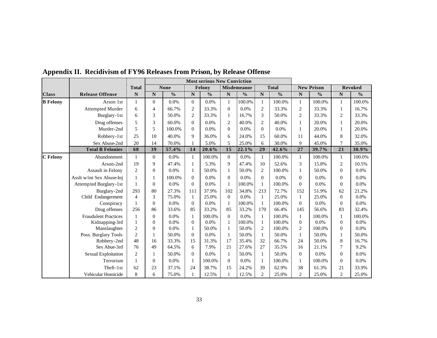|                 |                             |                |             |               |                | <b>Most serious New Conviction</b> |                |                    |                |               |                |                   |                  |                |
|-----------------|-----------------------------|----------------|-------------|---------------|----------------|------------------------------------|----------------|--------------------|----------------|---------------|----------------|-------------------|------------------|----------------|
|                 |                             | <b>Total</b>   |             | <b>None</b>   |                | Felony                             |                | <b>Misdemeanor</b> |                | <b>Total</b>  |                | <b>New Prison</b> |                  | <b>Revoked</b> |
| <b>Class</b>    | <b>Release Offense</b>      | N              | $\mathbf N$ | $\frac{0}{0}$ | $\mathbf N$    | $\frac{0}{0}$                      | N              | $\frac{0}{0}$      | N              | $\frac{0}{0}$ | N              | $\frac{0}{0}$     | $\mathbf N$      | $\frac{0}{0}$  |
| <b>B</b> Felony | Arson 1st                   | 1              | $\Omega$    | 0.0%          | $\overline{0}$ | 0.0%                               |                | 100.0%             | $\mathbf{1}$   | 100.0%        |                | 100.0%            | $\mathbf{1}$     | 100.0%         |
|                 | <b>Attempted Murder</b>     | 6              | 4           | 66.7%         | $\overline{2}$ | 33.3%                              | $\Omega$       | 0.0%               | $\overline{2}$ | 33.3%         | 2              | 33.3%             | 1                | 16.7%          |
|                 | Burglary-1st                | 6              | 3           | 50.0%         | 2              | 33.3%                              | 1              | 16.7%              | 3              | 50.0%         | $\overline{2}$ | 33.3%             | 2                | 33.3%          |
|                 | Drug offenses               | 5              | 3           | 60.0%         | $\overline{0}$ | 0.0%                               | $\overline{2}$ | 40.0%              | $\mathbf{2}$   | 40.0%         |                | 20.0%             | 1                | 20.0%          |
|                 | Murder-2nd                  | $\overline{5}$ | 5           | 100.0%        | $\overline{0}$ | 0.0%                               | $\mathbf{0}$   | 0.0%               | $\mathbf{0}$   | 0.0%          |                | 20.0%             | $\mathbf{1}$     | 20.0%          |
|                 | Robbery-1st                 | 25             | 10          | 40.0%         | 9              | 36.0%                              | 6              | 24.0%              | 15             | 60.0%         | 11             | 44.0%             | 8                | 32.0%          |
|                 | Sex Abuse-2nd               | 20             | 14          | 70.0%         |                | 5.0%                               | 5              | 25.0%              | 6              | 30.0%         | 9              | 45.0%             | $\overline{7}$   | 35.0%          |
|                 | <b>Total B Felonies</b>     | 68             | 39          | 57.4%         | 14             | 20.6%                              | 15             | 22.1%              | 29             | 42.6%         | 27             | 39.7%             | 21               | 30.9%          |
| C Felony        | Abandonment                 | 1              | $\Omega$    | 0.0%          | $\mathbf{1}$   | 100.0%                             | $\theta$       | 0.0%               | 1              | 100.0%        |                | 100.0%            | $\mathbf{1}$     | 100.0%         |
|                 | Arson-2nd                   | 19             | 9           | 47.4%         | $\mathbf{1}$   | 5.3%                               | 9              | 47.4%              | 10             | 52.6%         | 3              | 15.8%             | 2                | 10.5%          |
|                 | Assault in Felony           | $\overline{c}$ | $\Omega$    | 0.0%          | $\mathbf{1}$   | 50.0%                              | 1              | 50.0%              | $\overline{c}$ | 100.0%        |                | 50.0%             | $\overline{0}$   | $0.0\%$        |
|                 | Asslt w/int Sex Abuse-Inj   |                |             | 100.0%        | $\Omega$       | $0.0\%$                            | $\Omega$       | $0.0\%$            | $\Omega$       | 0.0%          | $\Omega$       | 0.0%              | $\overline{0}$   | 0.0%           |
|                 | Attempted Burglary-1st      | 1              | $\Omega$    | $0.0\%$       | $\Omega$       | 0.0%                               |                | 100.0%             | $\mathbf{1}$   | 100.0%        | $\Omega$       | 0.0%              | $\overline{0}$   | 0.0%           |
|                 | Burglary-2nd                | 293            | 80          | 27.3%         | 111            | 37.9%                              | 102            | 34.8%              | 213            | 72.7%         | 152            | 51.9%             | 62               | 21.2%          |
|                 | Child Endangerment          | $\overline{4}$ | 3           | 75.0%         | $\mathbf{1}$   | 25.0%                              | $\Omega$       | 0.0%               | 1              | 25.0%         |                | 25.0%             | $\overline{0}$   | 0.0%           |
|                 | Conspiracy                  | 1              | $\Omega$    | 0.0%          | $\theta$       | 0.0%                               | 1              | 100.0%             | 1              | 100.0%        | $\Omega$       | 0.0%              | $\overline{0}$   | $0.0\%$        |
|                 | Drug offenses               | 256            | 86          | 33.6%         | 85             | 33.2%                              | 85             | 33.2%              | 170            | 66.4%         | 145            | 56.6%             | 83               | 32.4%          |
|                 | <b>Fraudulent Practices</b> | 1              | $\Omega$    | $0.0\%$       | $\mathbf{1}$   | 100.0%                             | $\Omega$       | 0.0%               | 1              | 100.0%        | 1              | 100.0%            | $\mathbf{1}$     | 100.0%         |
|                 | Kidnapping-3rd              | 1              | $\theta$    | 0.0%          | $\theta$       | 0.0%                               |                | 100.0%             | $\mathbf{1}$   | 100.0%        | $\Omega$       | 0.0%              | $\boldsymbol{0}$ | 0.0%           |
|                 | Manslaughter                | $\overline{2}$ | $\Omega$    | 0.0%          | 1              | 50.0%                              | 1              | 50.0%              | $\overline{2}$ | 100.0%        | 2              | 100.0%            | $\overline{0}$   | $0.0\%$        |
|                 | Poss. Burglary Tools        | $\mathfrak{D}$ |             | 50.0%         | $\overline{0}$ | 0.0%                               | 1              | 50.0%              | $\mathbf{1}$   | 50.0%         |                | 50.0%             | $\mathbf{1}$     | 50.0%          |
|                 | Robbery-2nd                 | 48             | 16          | 33.3%         | 15             | 31.3%                              | 17             | 35.4%              | 32             | 66.7%         | 24             | 50.0%             | $\,$ 8 $\,$      | 16.7%          |
|                 | Sex Abue-3rd                | 76             | 49          | 64.5%         | 6              | 7.9%                               | 21             | 27.6%              | 27             | 35.5%         | 16             | 21.1%             | $\tau$           | 9.2%           |
|                 | Sexual Exploitation         | $\overline{2}$ |             | 50.0%         | $\Omega$       | 0.0%                               | 1              | 50.0%              | $\mathbf{1}$   | 50.0%         | $\Omega$       | 0.0%              | $\boldsymbol{0}$ | 0.0%           |
|                 | Terrorism                   | 1              | $\Omega$    | $0.0\%$       | $\mathbf{1}$   | 100.0%                             | $\mathbf{0}$   | $0.0\%$            | $\mathbf{1}$   | 100.0%        |                | 100.0%            | $\overline{0}$   | $0.0\%$        |
|                 | Theft-1st                   | 62             | 23          | 37.1%         | 24             | 38.7%                              | 15             | 24.2%              | 39             | 62.9%         | 38             | 61.3%             | 21               | 33.9%          |
|                 | Vehicular Homicide          | 8              | 6           | 75.0%         |                | 12.5%                              |                | 12.5%              | $\overline{c}$ | 25.0%         | $\overline{2}$ | 25.0%             | $\mathbf{2}$     | 25.0%          |

**Appendix II. Recidivism of FY96 Releases from Prison, by Release Offense**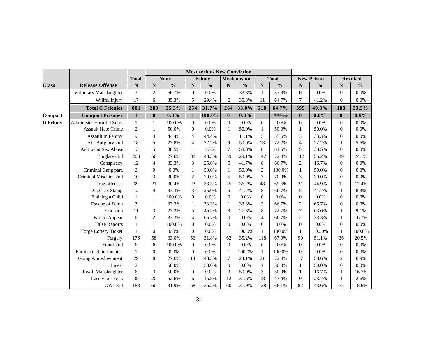|                 |                           |                |                         |               |                | <b>Most serious New Conviction</b> |                |               |                         |               |                |                   |                  |                |
|-----------------|---------------------------|----------------|-------------------------|---------------|----------------|------------------------------------|----------------|---------------|-------------------------|---------------|----------------|-------------------|------------------|----------------|
|                 |                           | <b>Total</b>   |                         | <b>None</b>   |                | Felony                             |                | Misdemeanor   |                         | <b>Total</b>  |                | <b>New Prison</b> |                  | <b>Revoked</b> |
| <b>Class</b>    | <b>Release Offense</b>    | ${\bf N}$      | $\overline{\mathbf{N}}$ | $\frac{0}{0}$ | $\mathbf N$    | $\frac{0}{0}$                      | $\mathbf N$    | $\frac{0}{0}$ | $\overline{\mathbf{N}}$ | $\frac{0}{0}$ | N              | $\frac{0}{0}$     | ${\bf N}$        | $\frac{0}{0}$  |
|                 | Voluntary Manslaughter    | 3              | $\overline{c}$          | 66.7%         | $\Omega$       | 0.0%                               | 1              | 33.3%         | $\mathbf{1}$            | 33.3%         | $\Omega$       | 0.0%              | $\mathbf{0}$     | 0.0%           |
|                 | Willful Injury            | 17             | 6                       | 35.3%         | 5              | 29.4%                              | 6              | 35.3%         | 11                      | 64.7%         | 7              | 41.2%             | $\boldsymbol{0}$ | 0.0%           |
|                 | <b>Total C Felonies</b>   | 801            | 283                     | 35.3%         | 254            | 31.7%                              | 264            | 33.0%         | 518                     | 64.7%         | 395            | 49.3%             | 188              | 23.5%          |
| Compact         | <b>Compact Prisoner</b>   | $\mathbf{1}$   | $\bf{0}$                | $0.0\%$       | $\mathbf{1}$   | 100.0%                             | $\bf{0}$       | $0.0\%$       | $\mathbf{1}$            | #####         | $\bf{0}$       | $0.0\%$           | $\bf{0}$         | $0.0\%$        |
| <b>D</b> Felony | Administer Harmful Subs.  | $\mathbf{1}$   | 1                       | 100.0%        | $\Omega$       | 0.0%                               | $\Omega$       | 0.0%          | $\Omega$                | 0.0%          | $\Omega$       | 0.0%              | $\mathbf{0}$     | 0.0%           |
|                 | <b>Assault Hate Crime</b> | $\overline{2}$ | 1                       | 50.0%         | $\Omega$       | 0.0%                               | $\mathbf{1}$   | 50.0%         | 1                       | 50.0%         |                | 50.0%             | $\mathbf{0}$     | 0.0%           |
|                 | Assault in Felony         | $\mathbf Q$    | $\overline{4}$          | 44.4%         | $\overline{4}$ | 44.4%                              | $\mathbf{1}$   | 11.1%         | 5                       | 55.6%         | 3              | 33.3%             | $\mathbf{0}$     | $0.0\%$        |
|                 | Att. Burglary 2nd         | 18             | 5                       | 27.8%         | $\overline{4}$ | 22.2%                              | 9              | 50.0%         | 13                      | 72.2%         | $\overline{4}$ | 22.2%             | $\mathbf{1}$     | 5.6%           |
|                 | Aslt w/int Sex Abuse      | 13             | 5                       | 38.5%         | 1              | 7.7%                               | 7              | 53.8%         | 8                       | 61.5%         | 5              | 38.5%             | $\mathbf{0}$     | 0.0%           |
|                 | Burglary-3rd              | 203            | 56                      | 27.6%         | 88             | 43.3%                              | 59             | 29.1%         | 147                     | 72.4%         | 112            | 55.2%             | 49               | 24.1%          |
|                 | Conspiracy                | 12             | $\overline{4}$          | 33.3%         | 3              | 25.0%                              | 5              | 41.7%         | 8                       | 66.7%         | 2              | 16.7%             | $\mathbf{0}$     | 0.0%           |
|                 | Criminal Gang part.       | 2              | $\Omega$                | 0.0%          | 1              | 50.0%                              | $\mathbf{1}$   | 50.0%         | $\mathbf{2}$            | 100.0%        |                | 50.0%             | $\boldsymbol{0}$ | 0.0%           |
|                 | Criminal Mischief-2nd     | 10             | 3                       | 30.0%         | $\overline{2}$ | 20.0%                              | 5              | 50.0%         | $\overline{7}$          | 70.0%         | 3              | 30.0%             | $\mathbf{0}$     | 0.0%           |
|                 | Drug offenses             | 69             | 21                      | 30.4%         | 23             | 33.3%                              | 25             | 36.2%         | 48                      | 69.6%         | 31             | 44.9%             | 12               | 17.4%          |
|                 | Drug Tax Stamp            | 12             | $\overline{4}$          | 33.3%         | 3              | 25.0%                              | 5              | 41.7%         | 8                       | 66.7%         | 5              | 41.7%             | $\mathbf{1}$     | 8.3%           |
|                 | Enticing a Child          | 1              | 1                       | 100.0%        | $\Omega$       | 0.0%                               | $\overline{0}$ | 0.0%          | $\Omega$                | $0.0\%$       | $\Omega$       | 0.0%              | $\mathbf{0}$     | 0.0%           |
|                 | Escape of Felon           | 3              | 1                       | 33.3%         | $\mathbf{1}$   | 33.3%                              | 1              | 33.3%         | $\mathbf{2}$            | 66.7%         | $\overline{2}$ | 66.7%             | $\boldsymbol{0}$ | 0.0%           |
|                 | Extortion                 | 11             | 3                       | 27.3%         | 5              | 45.5%                              | 3              | 27.3%         | 8                       | 72.7%         | $\overline{7}$ | 63.6%             | $\mathbf{1}$     | 9.1%           |
|                 | Fail to Appear            | 6              | 2                       | 33.3%         | $\overline{4}$ | 66.7%                              | $\overline{0}$ | 0.0%          | $\overline{4}$          | 66.7%         | 2              | 33.3%             | $\mathbf{1}$     | 16.7%          |
|                 | <b>False Reports</b>      | $\mathbf{1}$   | $\mathbf{1}$            | 100.0%        | $\Omega$       | 0.0%                               | $\theta$       | 0.0%          | $\overline{0}$          | 0.0%          | $\Omega$       | 0.0%              | $\overline{0}$   | 0.0%           |
|                 | Forge Lottery Ticket      | $\mathbf{1}$   | $\Omega$                | $0.0\%$       | $\Omega$       | 0.0%                               | $\mathbf{1}$   | 100.0%        | $\mathbf{1}$            | 100.0%        | 1              | 100.0%            | $\mathbf{1}$     | 100.0%         |
|                 | Forgery                   | 176            | 58                      | 33.0%         | 56             | 31.8%                              | 62             | 35.2%         | 118                     | 67.0%         | 90             | 51.1%             | 36               | 20.5%          |
|                 | Fraud-2nd                 | 6              | 6                       | 100.0%        | $\Omega$       | 0.0%                               | $\theta$       | 0.0%          | $\overline{0}$          | 0.0%          | $\Omega$       | 0.0%              | $\overline{0}$   | 0.0%           |
|                 | Furnish C.S. to Inmates   | $\mathbf{1}$   | $\Omega$                | 0.0%          | $\Omega$       | 0.0%                               | $\mathbf{1}$   | 100.0%        | 1                       | 100.0%        | $\Omega$       | 0.0%              | $\boldsymbol{0}$ | 0.0%           |
|                 | Going Armed w/intent      | 29             | 8                       | 27.6%         | 14             | 48.3%                              | $\overline{7}$ | 24.1%         | 21                      | 72.4%         | 17             | 58.6%             | $\overline{c}$   | 6.9%           |
|                 | Incest                    | $\overline{2}$ | 1                       | 50.0%         | 1              | 50.0%                              | $\overline{0}$ | 0.0%          | $\mathbf{1}$            | 50.0%         | 1              | 50.0%             | $\boldsymbol{0}$ | 0.0%           |
|                 | Invol. Manslaughter       | 6              | 3                       | 50.0%         | $\overline{0}$ | 0.0%                               | 3              | 50.0%         | 3                       | 50.0%         |                | 16.7%             | $\mathbf{1}$     | 16.7%          |
|                 | Lascivious Acts           | 38             | 20                      | 52.6%         | 6              | 15.8%                              | 12             | 31.6%         | 18                      | 47.4%         | 9              | 23.7%             | $\mathbf{1}$     | 2.6%           |
|                 | OWI-3rd                   | 188            | 60                      | 31.9%         | 68             | 36.2%                              | 60             | 31.9%         | 128                     | 68.1%         | 82             | 43.6%             | 35               | 18.6%          |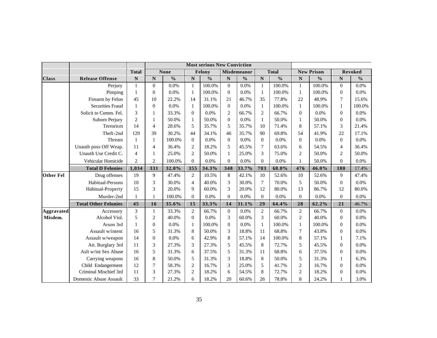|                   |                             |                |                         |               |                  | <b>Most serious New Conviction</b> |                |               |                         |               |                |                   |                  |                |
|-------------------|-----------------------------|----------------|-------------------------|---------------|------------------|------------------------------------|----------------|---------------|-------------------------|---------------|----------------|-------------------|------------------|----------------|
|                   |                             | <b>Total</b>   |                         | <b>None</b>   |                  | Felony                             |                | Misdemeanor   |                         | <b>Total</b>  |                | <b>New Prison</b> |                  | <b>Revoked</b> |
| <b>Class</b>      | <b>Release Offense</b>      | $\mathbf N$    | $\overline{\mathbf{N}}$ | $\frac{0}{0}$ | $\mathbf N$      | $\overline{\frac{0}{0}}$           | N              | $\frac{0}{0}$ | $\overline{\mathbf{N}}$ | $\frac{0}{6}$ | ${\bf N}$      | $\frac{0}{6}$     | ${\bf N}$        | $\frac{0}{0}$  |
|                   | Perjury                     | 1              | $\theta$                | 0.0%          | 1                | 100.0%                             | $\Omega$       | 0.0%          | $\mathbf{1}$            | 100.0%        | 1              | 100.0%            | $\mathbf{0}$     | 0.0%           |
|                   | Pimping                     | $\mathbf{1}$   | $\theta$                | 0.0%          | 1                | 100.0%                             | $\overline{0}$ | 0.0%          | $\mathbf{1}$            | 100.0%        | 1              | 100.0%            | $\overline{0}$   | 0.0%           |
|                   | Firearm by Felon            | 45             | 10                      | 22.2%         | 14               | 31.1%                              | 21             | 46.7%         | 35                      | 77.8%         | 22             | 48.9%             | 7                | 15.6%          |
|                   | <b>Securities Fraud</b>     | $\mathbf{1}$   | $\theta$                | $0.0\%$       | $\mathbf{1}$     | 100.0%                             | $\theta$       | 0.0%          | $\mathbf{1}$            | 100.0%        | 1              | 100.0%            | 1                | 100.0%         |
|                   | Solicit to Comm. Fel.       | 3              | 1                       | 33.3%         | $\mathbf{0}$     | 0.0%                               | $\overline{2}$ | 66.7%         | $\overline{c}$          | 66.7%         | $\Omega$       | 0.0%              | 0                | 0.0%           |
|                   | Suborn Perjury              | $\mathfrak{D}$ | 1                       | 50.0%         | $\mathbf{1}$     | 50.0%                              | $\overline{0}$ | 0.0%          | $\mathbf{1}$            | 50.0%         | 1              | 50.0%             | $\boldsymbol{0}$ | 0.0%           |
|                   | Terrorism                   | 14             | $\overline{4}$          | 28.6%         | 5                | 35.7%                              | 5              | 35.7%         | 10                      | 71.4%         | 8              | 57.1%             | 3                | 21.4%          |
|                   | Theft-2nd                   | 129            | 39                      | 30.2%         | 44               | 34.1%                              | 46             | 35.7%         | 90                      | 69.8%         | 54             | 41.9%             | 22               | 17.1%          |
|                   | Threats                     | 1              | 1                       | 100.0%        | $\mathbf{0}$     | $0.0\%$                            | $\theta$       | $0.0\%$       | $\theta$                | 0.0%          | $\Omega$       | 0.0%              | $\mathbf{0}$     | 0.0%           |
|                   | Unauth poss Off Weap.       | 11             | $\overline{4}$          | 36.4%         | 2                | 18.2%                              | 5              | 45.5%         | $\overline{7}$          | 63.6%         | 6              | 54.5%             | 4                | 36.4%          |
|                   | Unauth Use Credit C.        | $\overline{4}$ | 1                       | 25.0%         | 2                | 50.0%                              | $\mathbf{1}$   | 25.0%         | 3                       | 75.0%         | 2              | 50.0%             | $\overline{c}$   | 50.0%          |
|                   | Vehicular Homicide          | $\overline{2}$ | $\overline{2}$          | 100.0%        | $\Omega$         | 0.0%                               | $\theta$       | 0.0%          | $\mathbf{0}$            | 0.0%          | 1              | 50.0%             | $\theta$         | 0.0%           |
|                   | <b>Total D Felonies</b>     | 1,034          | 331                     | 32.0%         | 355              | 34.3%                              | 348            | 33.7%         | 703                     | 68.0%         | 476            | 46.0%             | 180              | 17.4%          |
| <b>Other Fel</b>  | Drug offenses               | 19             | 9                       | 47.4%         | 2                | 10.5%                              | 8              | 42.1%         | 10                      | 52.6%         | 10             | 52.6%             | 9                | 47.4%          |
|                   | Habitual-Persons            | 10             | 3                       | 30.0%         | $\overline{4}$   | 40.0%                              | 3              | 30.0%         | $\tau$                  | 70.0%         | 5              | 50.0%             | $\overline{0}$   | 0.0%           |
|                   | Habitual-Property           | 15             | 3                       | 20.0%         | 9                | 60.0%                              | 3              | 20.0%         | 12                      | 80.0%         | 13             | 86.7%             | 12               | 80.0%          |
|                   | Murder-2nd                  | $\mathbf{1}$   | 1                       | 100.0%        | $\theta$         | 0.0%                               | $\theta$       | 0.0%          | $\mathbf{0}$            | 0.0%          | $\Omega$       | 0.0%              | $\theta$         | 0.0%           |
|                   | <b>Total Other Felonies</b> | 45             | 16                      | 35.6%         | 15               | 33.3%                              | 14             | 31.1%         | 29                      | 64.4%         | 28             | 62.2%             | 21               | 46.7%          |
| <b>Aggravated</b> | Accessory                   | 3              | 1                       | 33.3%         | $\mathbf{2}$     | 66.7%                              | $\theta$       | 0.0%          | $\overline{2}$          | 66.7%         | 2              | 66.7%             | $\theta$         | 0.0%           |
| Misdem.           | Alcohol Viol.               | 5              | $\overline{c}$          | 40.0%         | $\boldsymbol{0}$ | 0.0%                               | 3              | 60.0%         | 3                       | 60.0%         | $\overline{2}$ | 40.0%             | $\boldsymbol{0}$ | 0.0%           |
|                   | Arson 3rd                   | $\mathbf{1}$   | $\theta$                | $0.0\%$       | 1                | 100.0%                             | $\overline{0}$ | 0.0%          | $\mathbf{1}$            | 100.0%        | 1              | 100.0%            | $\overline{0}$   | 0.0%           |
|                   | Assault w/intent            | 16             | 5                       | 31.3%         | 8                | 50.0%                              | 3              | 18.8%         | 11                      | 68.8%         | 7              | 43.8%             | $\overline{0}$   | 0.0%           |
|                   | Assault w/weapon            | 14             | $\overline{0}$          | 0.0%          | 6                | 42.9%                              | 8              | 57.1%         | 14                      | 100.0%        | 8              | 57.1%             | 1                | 7.1%           |
|                   | Att. Burglary 3rd           | 11             | 3                       | 27.3%         | 3                | 27.3%                              | 5              | 45.5%         | 8                       | 72.7%         | 5              | 45.5%             | $\mathbf{0}$     | 0.0%           |
|                   | Aslt w/int Sex Abuse        | 16             | 5                       | 31.3%         | 6                | 37.5%                              | 5              | 31.3%         | 11                      | 68.8%         | 6              | 37.5%             | $\overline{0}$   | 0.0%           |
|                   | Carrying weapons            | 16             | 8                       | 50.0%         | 5                | 31.3%                              | 3              | 18.8%         | 8                       | 50.0%         | 5              | 31.3%             | 1                | 6.3%           |
|                   | Child Endangerment          | 12             | 7                       | 58.3%         | $\overline{c}$   | 16.7%                              | 3              | 25.0%         | 5                       | 41.7%         | 2              | 16.7%             | $\Omega$         | 0.0%           |
|                   | Criminal Mischief 3rd       | 11             | 3                       | 27.3%         | $\overline{c}$   | 18.2%                              | 6              | 54.5%         | 8                       | 72.7%         | 2              | 18.2%             | $\overline{0}$   | 0.0%           |
|                   | Domestic Abuse Assault      | 33             | 7                       | 21.2%         | 6                | 18.2%                              | 20             | 60.6%         | 26                      | 78.8%         | 8              | 24.2%             | 1                | 3.0%           |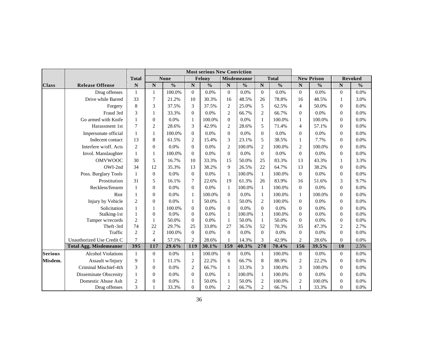|                |                               |                | <b>Most serious New Conviction</b> |               |                  |               |                    |                    |                         |               |                |                   |                  |                |
|----------------|-------------------------------|----------------|------------------------------------|---------------|------------------|---------------|--------------------|--------------------|-------------------------|---------------|----------------|-------------------|------------------|----------------|
|                |                               | <b>Total</b>   |                                    | <b>None</b>   |                  | Felony        |                    | <b>Misdemeanor</b> |                         | <b>Total</b>  |                | <b>New Prison</b> |                  | <b>Revoked</b> |
| <b>Class</b>   | <b>Release Offense</b>        | ${\bf N}$      | $\overline{\mathbf{N}}$            | $\frac{0}{0}$ | N                | $\frac{0}{0}$ | $\overline{\bf N}$ | $\frac{0}{0}$      | $\overline{\mathbf{N}}$ | $\frac{0}{0}$ | $\mathbf N$    | $\frac{0}{0}$     | ${\bf N}$        | $\frac{0}{0}$  |
|                | Drug offenses                 | 1              | 1                                  | 100.0%        | $\overline{0}$   | 0.0%          | $\theta$           | 0.0%               | $\mathbf{0}$            | 0.0%          | $\Omega$       | 0.0%              | $\overline{0}$   | 0.0%           |
|                | Drive while Barred            | 33             | 7                                  | 21.2%         | 10               | 30.3%         | 16                 | 48.5%              | 26                      | 78.8%         | 16             | 48.5%             | 1                | 3.0%           |
|                | Forgery                       | 8              | 3                                  | 37.5%         | 3                | 37.5%         | $\overline{c}$     | 25.0%              | 5                       | 62.5%         | 4              | 50.0%             | 0                | 0.0%           |
|                | Fraud 3rd                     | 3              | 1                                  | 33.3%         | $\mathbf{0}$     | 0.0%          | $\overline{c}$     | 66.7%              | $\overline{c}$          | 66.7%         | $\Omega$       | 0.0%              | $\overline{0}$   | 0.0%           |
|                | Go armed with Knife           | 1              | $\theta$                           | 0.0%          | 1                | 100.0%        | $\overline{0}$     | 0.0%               | $\mathbf{1}$            | 100.0%        | 1              | 100.0%            | $\overline{0}$   | 0.0%           |
|                | Harassment 1st                | 7              | $\overline{2}$                     | 28.6%         | 3                | 42.9%         | $\overline{c}$     | 28.6%              | 5                       | 71.4%         | $\overline{4}$ | 57.1%             | $\overline{0}$   | 0.0%           |
|                | Impersonate official          | 1              | 1                                  | 100.0%        | $\mathbf{0}$     | 0.0%          | $\theta$           | 0.0%               | $\overline{0}$          | 0.0%          | $\Omega$       | 0.0%              | $\overline{0}$   | 0.0%           |
|                | Indecent contact              | 13             | 8                                  | 61.5%         | $\overline{c}$   | 15.4%         | 3                  | 23.1%              | 5                       | 38.5%         | 1              | 7.7%              | $\boldsymbol{0}$ | 0.0%           |
|                | Interfere w/off. Acts         | $\overline{2}$ | $\Omega$                           | 0.0%          | $\overline{0}$   | 0.0%          | $\overline{2}$     | 100.0%             | $\mathbf{2}$            | 100.0%        | 2              | 100.0%            | $\boldsymbol{0}$ | 0.0%           |
|                | Invol. Manslaughter           | 1              | 1                                  | 100.0%        | $\mathbf{0}$     | 0.0%          | $\theta$           | 0.0%               | $\overline{0}$          | 0.0%          | $\Omega$       | 0.0%              | $\overline{0}$   | 0.0%           |
|                | <b>OMVWOOC</b>                | 30             | 5                                  | 16.7%         | 10               | 33.3%         | 15                 | 50.0%              | 25                      | 83.3%         | 13             | 43.3%             | 1                | 3.3%           |
|                | OWI-2nd                       | 34             | 12                                 | 35.3%         | 13               | 38.2%         | 9                  | 26.5%              | 22                      | 64.7%         | 13             | 38.2%             | $\overline{0}$   | 0.0%           |
|                | Poss. Burglary Tools          | 1              | $\Omega$                           | 0.0%          | $\mathbf{0}$     | 0.0%          | $\mathbf{1}$       | 100.0%             | $\mathbf{1}$            | 100.0%        | $\Omega$       | 0.0%              | $\overline{0}$   | 0.0%           |
|                | Prostitution                  | 31             | 5                                  | 16.1%         | 7                | 22.6%         | 19                 | 61.3%              | 26                      | 83.9%         | 16             | 51.6%             | 3                | 9.7%           |
|                | Reckless/firearm              | 1              | $\theta$                           | 0.0%          | $\boldsymbol{0}$ | 0.0%          | 1                  | 100.0%             | $\mathbf{1}$            | 100.0%        | $\Omega$       | 0.0%              | $\boldsymbol{0}$ | 0.0%           |
|                | Riot                          | 1              | $\Omega$                           | 0.0%          | 1                | 100.0%        | $\mathbf{0}$       | 0.0%               | $\mathbf{1}$            | 100.0%        | 1              | 100.0%            | 0                | 0.0%           |
|                | Injury by Vehicle             | $\overline{2}$ | $\Omega$                           | 0.0%          | 1                | 50.0%         | 1                  | 50.0%              | $\mathbf{2}$            | 100.0%        | $\Omega$       | 0.0%              | $\boldsymbol{0}$ | 0.0%           |
|                | Solicitation                  | 1              | 1                                  | 100.0%        | $\mathbf{0}$     | 0.0%          | $\overline{0}$     | 0.0%               | $\boldsymbol{0}$        | 0.0%          | $\Omega$       | 0.0%              | $\overline{0}$   | 0.0%           |
|                | Stalking-1st                  | $\mathbf{1}$   | $\Omega$                           | 0.0%          | $\boldsymbol{0}$ | 0.0%          | $\mathbf{1}$       | 100.0%             | $\mathbf{1}$            | 100.0%        | $\Omega$       | 0.0%              | $\boldsymbol{0}$ | 0.0%           |
|                | Tamper w/records              | $\overline{c}$ | 1                                  | 50.0%         | $\mathbf{0}$     | 0.0%          | 1                  | 50.0%              | $\mathbf{1}$            | 50.0%         | $\overline{0}$ | 0.0%              | $\boldsymbol{0}$ | 0.0%           |
|                | Theft-3rd                     | 74             | 22                                 | 29.7%         | 25               | 33.8%         | 27                 | 36.5%              | 52                      | 70.3%         | 35             | 47.3%             | $\overline{c}$   | 2.7%           |
|                | Traffic                       | $\mathfrak{D}$ | $\overline{2}$                     | 100.0%        | $\overline{0}$   | 0.0%          | $\theta$           | 0.0%               | $\mathbf{0}$            | 0.0%          | $\Omega$       | 0.0%              | $\overline{0}$   | 0.0%           |
|                | Unauthorized Use Credit C     | 7              | $\overline{4}$                     | 57.1%         | $\overline{c}$   | 28.6%         | $\mathbf{1}$       | 14.3%              | 3                       | 42.9%         | $\overline{2}$ | 28.6%             | $\mathbf{0}$     | 0.0%           |
|                | <b>Total Agg. Misdemeanor</b> | 395            | 117                                | 29.6%         | 119              | 30.1%         | 159                | 40.3%              | 278                     | 70.4%         | 156            | 39.5%             | 10               | 2.5%           |
| <b>Serious</b> | <b>Alcohol Violations</b>     | 1              | $\Omega$                           | 0.0%          | $\mathbf{1}$     | 100.0%        | $\theta$           | 0.0%               | $\mathbf{1}$            | 100.0%        | $\Omega$       | 0.0%              | $\overline{0}$   | 0.0%           |
| Misdem.        | Assault w/Injury              | 9              | 1                                  | 11.1%         | $\overline{c}$   | 22.2%         | 6                  | 66.7%              | 8                       | 88.9%         | 2              | 22.2%             | $\overline{0}$   | 0.0%           |
|                | Criminal Mischief-4th         | 3              | $\Omega$                           | 0.0%          | $\overline{2}$   | 66.7%         | 1                  | 33.3%              | 3                       | 100.0%        | 3              | 100.0%            | $\boldsymbol{0}$ | 0.0%           |
|                | Disseminate Obscenity         | 1              | $\Omega$                           | 0.0%          | $\overline{0}$   | 0.0%          | 1                  | 100.0%             | $\mathbf{1}$            | 100.0%        | $\overline{0}$ | 0.0%              | $\boldsymbol{0}$ | 0.0%           |
|                | Domestic Abuse Aslt           | $\overline{2}$ | $\Omega$                           | 0.0%          | 1                | 50.0%         | 1                  | 50.0%              | $\overline{c}$          | 100.0%        | 2              | 100.0%            | $\boldsymbol{0}$ | 0.0%           |
|                | Drug offenses                 | 3              |                                    | 33.3%         | $\boldsymbol{0}$ | 0.0%          | $\overline{c}$     | 66.7%              | $\overline{c}$          | 66.7%         |                | 33.3%             | $\boldsymbol{0}$ | 0.0%           |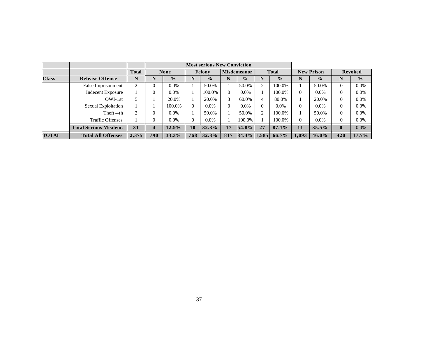|              |                              |                |                         |               |          | <b>Most serious New Conviction</b> |          |                    |          |               |          |                   |                  |                |
|--------------|------------------------------|----------------|-------------------------|---------------|----------|------------------------------------|----------|--------------------|----------|---------------|----------|-------------------|------------------|----------------|
|              |                              | Total          |                         | <b>None</b>   |          | Felony                             |          | <b>Misdemeanor</b> |          | <b>Total</b>  |          | <b>New Prison</b> |                  | <b>Revoked</b> |
| <b>Class</b> | <b>Release Offense</b>       | N              | N                       | $\frac{0}{2}$ | N        | $\frac{0}{0}$                      | N        | $\frac{0}{0}$      | N        | $\frac{0}{0}$ | N        | $\frac{0}{0}$     | N                | $\frac{0}{0}$  |
|              | False Imprisonment           | $\overline{c}$ | $\Omega$                | $0.0\%$       |          | 50.0%                              |          | 50.0%              | 2        | 100.0%        |          | 50.0%             | 0                | $0.0\%$        |
|              | <b>Indecent Exposure</b>     |                | $\Omega$                | $0.0\%$       |          | 100.0%                             | $\Omega$ | $0.0\%$            |          | 100.0%        | $\Omega$ | $0.0\%$           | $\Omega$         | $0.0\%$        |
|              | OWI-1st                      |                |                         | 20.0%         |          | 20.0%                              | 3        | 60.0%              | 4        | 80.0%         |          | 20.0%             | $\boldsymbol{0}$ | $0.0\%$        |
|              | Sexual Exploitation          |                |                         | 100.0%        | $\Omega$ | $0.0\%$                            | $\Omega$ | $0.0\%$            | $\Omega$ | $0.0\%$       | $\Omega$ | $0.0\%$           | $\overline{0}$   | $0.0\%$        |
|              | Theft-4th                    | $\overline{2}$ | $\Omega$                | $0.0\%$       |          | 50.0%                              |          | 50.0%              | 2        | 100.0%        |          | 50.0%             | $\Omega$         | $0.0\%$        |
|              | <b>Traffic Offenses</b>      |                | $\Omega$                | $0.0\%$       | $\Omega$ | $0.0\%$                            |          | 100.0%             |          | 100.0%        | $\Omega$ | $0.0\%$           | $\boldsymbol{0}$ | $0.0\%$        |
|              | <b>Total Serious Misdem.</b> | 31             | $\overline{\mathbf{4}}$ | 12.9%         | 10       | 32.3%                              | 17       | 54.8%              | 27       | 87.1%         | 11       | 35.5%             | $\bf{0}$         | $0.0\%$        |
| <b>TOTAL</b> | <b>Total All Offenses</b>    | 2,375          | 790                     | 33.3%         | 768      | 32.3%                              | 817      | 34.4%              | 1,585    | 66.7%         | 1,093    | $46.0\%$          | 420              | $17.7\%$       |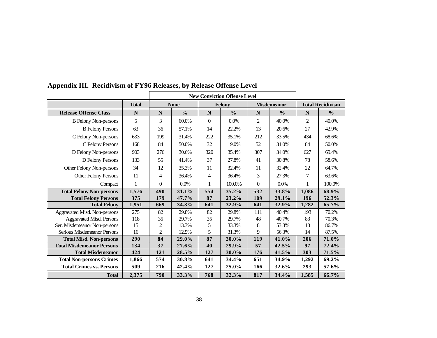|                                  |              |                | <b>New Conviction Offense Level</b> |                |               |                |                    |                |                         |
|----------------------------------|--------------|----------------|-------------------------------------|----------------|---------------|----------------|--------------------|----------------|-------------------------|
|                                  | <b>Total</b> |                | <b>None</b>                         |                | Felony        |                | <b>Misdemeanor</b> |                | <b>Total Recidivism</b> |
| <b>Release Offense Class</b>     | $\mathbf N$  | N              | $\frac{0}{0}$                       | N              | $\frac{0}{0}$ | $\mathbf N$    | $\frac{0}{0}$      | N              | $\frac{0}{0}$           |
| <b>B</b> Felony Non-persons      | 5            | 3              | 60.0%                               | $\Omega$       | 0.0%          | $\overline{2}$ | 40.0%              | $\overline{2}$ | 40.0%                   |
| <b>B</b> Felony Persons          | 63           | 36             | 57.1%                               | 14             | 22.2%         | 13             | 20.6%              | 27             | 42.9%                   |
| C Felony Non-persons             | 633          | 199            | 31.4%                               | 222            | 35.1%         | 212            | 33.5%              | 434            | 68.6%                   |
| C Felony Persons                 | 168          | 84             | 50.0%                               | 32             | 19.0%         | 52             | 31.0%              | 84             | 50.0%                   |
| D Felony Non-persons             | 903          | 276            | 30.6%                               | 320            | 35.4%         | 307            | 34.0%              | 627            | 69.4%                   |
| D Felony Persons                 | 133          | 55             | 41.4%                               | 37             | 27.8%         | 41             | 30.8%              | 78             | 58.6%                   |
| Other Felony Non-persons         | 34           | 12             | 35.3%                               | 11             | 32.4%         | 11             | 32.4%              | 22             | 64.7%                   |
| <b>Other Felony Persons</b>      | 11           | $\overline{4}$ | 36.4%                               | $\overline{4}$ | 36.4%         | 3              | 27.3%              | 7              | 63.6%                   |
| Compact                          |              | $\theta$       | 0.0%                                |                | 100.0%        | $\overline{0}$ | 0.0%               |                | 100.0%                  |
| <b>Total Felony Non-persons</b>  | 1,576        | 490            | 31.1%                               | 554            | 35.2%         | 532            | 33.8%              | 1,086          | 68.9%                   |
| <b>Total Felony Persons</b>      | 375          | 179            | 47.7%                               | 87             | 23.2%         | 109            | 29.1%              | 196            | 52.3%                   |
| <b>Total Felony</b>              | 1,951        | 669            | 34.3%                               | 641            | 32.9%         | 641            | 32.9%              | 1,282          | 65.7%                   |
| Aggravated Misd. Non-persons     | 275          | 82             | 29.8%                               | 82             | 29.8%         | 111            | 40.4%              | 193            | 70.2%                   |
| <b>Aggravated Misd. Persons</b>  | 118          | 35             | 29.7%                               | 35             | 29.7%         | 48             | 40.7%              | 83             | 70.3%                   |
| Ser. Misdemeanor Non-persons     | 15           | 2              | 13.3%                               | 5              | 33.3%         | $\,8\,$        | 53.3%              | 13             | 86.7%                   |
| Serious Misdemeanor Persons      | 16           | 2              | 12.5%                               | 5              | 31.3%         | 9              | 56.3%              | 14             | 87.5%                   |
| <b>Total Misd. Non-persons</b>   | 290          | 84             | 29.0%                               | 87             | 30.0%         | 119            | 41.0%              | 206            | 71.0%                   |
| <b>Total Misdemeanor Persons</b> | 134          | 37             | 27.6%                               | 40             | 29.9%         | 57             | 42.5%              | 97             | 72.4%                   |
| <b>Total Misdemeanor</b>         | 424          | 121            | 28.5%                               | 127            | 30.0%         | 176            | 41.5%              | 303            | 71.5%                   |
| <b>Total Non-persons Crimes</b>  | 1,866        | 574            | 30.8%                               | 641            | 34.4%         | 651            | 34.9%              | 1,292          | 69.2%                   |
| <b>Total Crimes vs. Persons</b>  | 509          | 216            | 42.4%                               | 127            | 25.0%         | 166            | 32.6%              | 293            | 57.6%                   |
| <b>Total</b>                     | 2,375        | 790            | 33.3%                               | 768            | 32.3%         | 817            | 34.4%              | 1,585          | 66.7%                   |

**Appendix III. Recidivism of FY96 Releases, by Release Offense Level**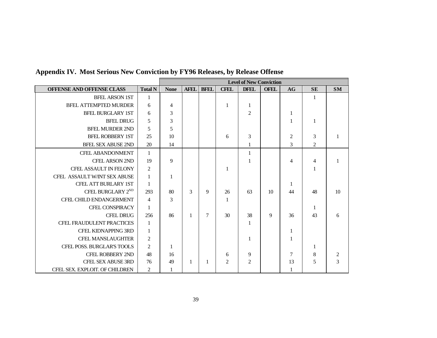|                                |                | <b>Level of New Conviction</b> |             |             |                |                |             |                |                |           |
|--------------------------------|----------------|--------------------------------|-------------|-------------|----------------|----------------|-------------|----------------|----------------|-----------|
| OFFENSE AND OFFENSE CLASS      | <b>Total N</b> | <b>None</b>                    | <b>AFEL</b> | <b>BFEL</b> | <b>CFEL</b>    | <b>DFEL</b>    | <b>OFEL</b> | AG             | <b>SE</b>      | <b>SM</b> |
| <b>BFEL ARSON 1ST</b>          | 1              |                                |             |             |                |                |             |                | $\mathbf{1}$   |           |
| <b>BFEL ATTEMPTED MURDER</b>   | 6              | $\overline{4}$                 |             |             |                | 1              |             |                |                |           |
| <b>BFEL BURGLARY 1ST</b>       | 6              | 3                              |             |             |                | $\overline{2}$ |             | 1              |                |           |
| <b>BFEL DRUG</b>               | 5              | 3                              |             |             |                |                |             |                | -1             |           |
| <b>BFEL MURDER 2ND</b>         | 5              | 5                              |             |             |                |                |             |                |                |           |
| <b>BFEL ROBBERY 1ST</b>        | 25             | 10                             |             |             | 6              | 3              |             | $\overline{2}$ | 3              |           |
| <b>BFEL SEX ABUSE 2ND</b>      | 20             | 14                             |             |             |                |                |             | 3              | $\overline{2}$ |           |
| <b>CFEL ABANDONMENT</b>        | $\mathbf{1}$   |                                |             |             |                | 1              |             |                |                |           |
| <b>CFEL ARSON 2ND</b>          | 19             | 9                              |             |             |                | 1              |             | 4              | $\overline{4}$ |           |
| <b>CFEL ASSAULT IN FELONY</b>  | $\overline{2}$ |                                |             |             |                |                |             |                | 1              |           |
| CFEL ASSAULT W/INT SEX ABUSE   | $\mathbf{1}$   | $\mathbf{1}$                   |             |             |                |                |             |                |                |           |
| CFEL ATT BURLARY 1ST           | $\mathbf{1}$   |                                |             |             |                |                |             | 1              |                |           |
| CFEL BURGLARY 2 <sup>ND</sup>  | 293            | 80                             | 3           | 9           | 26             | 63             | 10          | 44             | 48             | 10        |
| CFEL CHILD ENDANGERMENT        | $\overline{4}$ | 3                              |             |             | 1              |                |             |                |                |           |
| <b>CFEL CONSPIRACY</b>         | 1              |                                |             |             |                |                |             |                | 1              |           |
| <b>CFEL DRUG</b>               | 256            | 86                             | 1           | 7           | 30             | 38             | 9           | 36             | 43             | 6         |
| CFEL FRAUDULENT PRACTICES      | -1             |                                |             |             |                | 1              |             |                |                |           |
| <b>CFEL KIDNAPPING 3RD</b>     | $\mathbf{1}$   |                                |             |             |                |                |             | 1              |                |           |
| <b>CFEL MANSLAUGHTER</b>       | $\overline{2}$ |                                |             |             |                |                |             |                |                |           |
| CFEL POSS. BURGLAR'S TOOLS     | $\overline{2}$ | 1                              |             |             |                |                |             |                | 1              |           |
| <b>CFEL ROBBERY 2ND</b>        | 48             | 16                             |             |             | 6              | 9              |             | $\tau$         | 8              |           |
| <b>CFEL SEX ABUSE 3RD</b>      | 76             | 49                             | 1           | 1           | $\overline{2}$ | $\overline{c}$ |             | 13             | 5              | 3         |
| CFEL SEX. EXPLOIT. OF CHILDREN | 2              |                                |             |             |                |                |             |                |                |           |

**Appendix IV. Most Serious New Conviction by FY96 Releases, by Release Offense**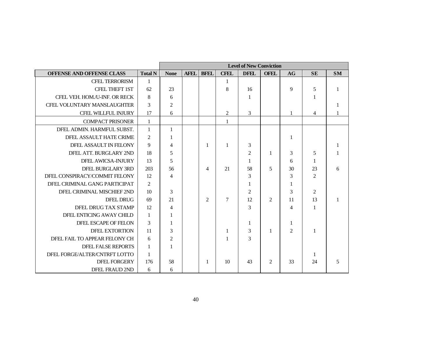|                               |                | <b>Level of New Conviction</b> |             |                             |                |                |                |                |                |           |  |
|-------------------------------|----------------|--------------------------------|-------------|-----------------------------|----------------|----------------|----------------|----------------|----------------|-----------|--|
| OFFENSE AND OFFENSE CLASS     | <b>Total N</b> | <b>None</b>                    | <b>AFEL</b> | <b>BFEL</b>                 | <b>CFEL</b>    | <b>DFEL</b>    | <b>OFEL</b>    | AG             | <b>SE</b>      | <b>SM</b> |  |
| <b>CFEL TERRORISM</b>         | $\mathbf{1}$   |                                |             |                             | $\mathbf 1$    |                |                |                |                |           |  |
| <b>CFEL THEFT 1ST</b>         | 62             | 23                             |             |                             | 8              | 16             |                | 9              | 5              | 1         |  |
| CFEL VEH. HOM./U-INF. OR RECK | 8              | 6                              |             |                             |                | $\mathbf{1}$   |                |                | 1              |           |  |
| CFEL VOLUNTARY MANSLAUGHTER   | 3              | $\overline{c}$                 |             |                             |                |                |                |                |                |           |  |
| CFEL WILLFUL INJURY           | 17             | 6                              |             |                             | $\overline{2}$ | 3              |                |                | $\overline{4}$ |           |  |
| <b>COMPACT PRISONER</b>       | $\mathbf{1}$   |                                |             |                             | $\mathbf{1}$   |                |                |                |                |           |  |
| DFEL ADMIN. HARMFUL SUBST.    | $\mathbf{1}$   | $\mathbf{1}$                   |             |                             |                |                |                |                |                |           |  |
| DFEL ASSAULT HATE CRIME       | $\overline{2}$ | 1                              |             |                             |                |                |                | 1              |                |           |  |
| DFEL ASSAULT IN FELONY        | 9              | 4                              |             | -1                          | $\mathbf{1}$   | 3              |                |                |                | 1         |  |
| DFEL ATT. BURGLARY 2ND        | 18             | 5                              |             |                             |                | $\overline{c}$ | 1              | 3              | 5              |           |  |
| DFEL AWICSA-INJURY            | 13             | 5                              |             |                             |                | 1              |                | 6              | 1              |           |  |
| DFEL BURGLARY 3RD             | 203            | 56                             |             | 4                           | 21             | 58             | 5              | 30             | 23             | 6         |  |
| DFEL CONSPIRACY/COMMIT FELONY | 12             | $\overline{4}$                 |             |                             |                | 3              |                | 3              | 2              |           |  |
| DFEL CRIMINAL GANG PARTICIPAT | 2              |                                |             |                             |                | 1              |                | 1              |                |           |  |
| DFEL CRIMINAL MISCHIEF 2ND    | 10             | 3                              |             |                             |                | $\overline{2}$ |                | 3              | $\overline{2}$ |           |  |
| DFEL DRUG                     | 69             | 21                             |             | $\mathcal{D}_{\mathcal{L}}$ | $\overline{7}$ | 12             | $\overline{2}$ | 11             | 13             |           |  |
| DFEL DRUG TAX STAMP           | 12             | $\overline{4}$                 |             |                             |                | 3              |                | $\overline{4}$ | 1              |           |  |
| DFEL ENTICING AWAY CHILD      | $\overline{1}$ | $\mathbf{1}$                   |             |                             |                |                |                |                |                |           |  |
| DFEL ESCAPE OF FELON          | $\mathcal{R}$  | 1                              |             |                             |                | 1              |                | 1              |                |           |  |
| <b>DFEL EXTORTION</b>         | 11             | 3                              |             |                             | $\mathbf{1}$   | 3              | $\mathbf{1}$   | $\mathcal{L}$  | $\mathbf{1}$   |           |  |
| DFEL FAIL TO APPEAR FELONY CH | 6              | $\overline{c}$                 |             |                             | $\mathbf{1}$   | $\mathcal{E}$  |                |                |                |           |  |
| <b>DFEL FALSE REPORTS</b>     | $\overline{1}$ | 1                              |             |                             |                |                |                |                |                |           |  |
| DFEL FORGE/ALTER/CNTRFT LOTTO | $\mathbf{1}$   |                                |             |                             |                |                |                |                | 1              |           |  |
| <b>DFEL FORGERY</b>           | 176            | 58                             |             | -1                          | 10             | 43             | 2              | 33             | 24             | 5         |  |
| DFEL FRAUD 2ND                | 6              | 6                              |             |                             |                |                |                |                |                |           |  |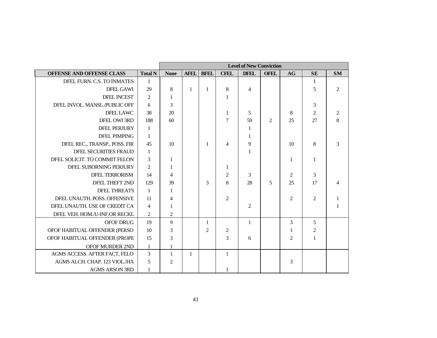|                               |                | <b>Level of New Conviction</b> |              |                |                |                |                |                |                |                |  |
|-------------------------------|----------------|--------------------------------|--------------|----------------|----------------|----------------|----------------|----------------|----------------|----------------|--|
| OFFENSE AND OFFENSE CLASS     | <b>Total N</b> | <b>None</b>                    | <b>AFEL</b>  | <b>BFEL</b>    | <b>CFEL</b>    | <b>DFEL</b>    | <b>OFEL</b>    | AG             | <b>SE</b>      | <b>SM</b>      |  |
| DFEL FURN. C.S. TO INMATES    | $\mathbf{1}$   |                                |              |                |                |                |                |                | -1             |                |  |
| DFEL GAWI                     | 29             | 8                              | $\mathbf{1}$ | 1              | 8              | $\overline{4}$ |                |                | 5              | $\overline{2}$ |  |
| <b>DFEL INCEST</b>            | $\overline{2}$ | 1                              |              |                | $\mathbf{1}$   |                |                |                |                |                |  |
| DFEL INVOL. MANSL./PUBLIC OFF | 6              | 3                              |              |                |                |                |                |                | 3              |                |  |
| DFEL LAWC                     | 38             | 20                             |              |                | $\mathbf{1}$   | 5              |                | 8              | $\mathfrak{2}$ | $\overline{c}$ |  |
| DFEL OWI 3RD                  | 188            | 60                             |              |                | $\overline{7}$ | 59             | $\overline{c}$ | 25             | 27             | 8              |  |
| <b>DFEL PERJURY</b>           | $\mathbf{1}$   |                                |              |                |                | $\mathbf{1}$   |                |                |                |                |  |
| <b>DFEL PIMPING</b>           | 1              |                                |              |                |                | 1              |                |                |                |                |  |
| DFEL REC., TRANSP., POSS. FIR | 45             | 10                             |              | 1              | $\overline{4}$ | 9              |                | 10             | 8              | 3              |  |
| DFEL SECURITIES FRAUD         | $\mathbf{1}$   |                                |              |                |                | 1              |                |                |                |                |  |
| DFEL SOLICIT. TO COMMIT FELON | 3              | 1                              |              |                |                |                |                | 1              | 1              |                |  |
| DFEL SUBORNING PERJURY        | $\overline{2}$ | 1                              |              |                | $\mathbf{1}$   |                |                |                |                |                |  |
| <b>DFEL TERRORISM</b>         | 14             | $\overline{4}$                 |              |                | $\overline{c}$ | 3              |                | 2              | 3              |                |  |
| DFEL THEFT 2ND                | 129            | 39                             |              | 3              | 8              | 28             | 5              | 25             | 17             |                |  |
| <b>DFEL THREATS</b>           | $\mathbf{1}$   | 1                              |              |                |                |                |                |                |                |                |  |
| DFEL UNAUTH, POSS, OFFENSIVE  | 11             | $\overline{4}$                 |              |                | $\overline{2}$ |                |                | $\overline{2}$ | 2              |                |  |
| DFEL UNAUTH. USE OF CREDIT CA | $\overline{4}$ | 1                              |              |                |                | 2              |                |                |                |                |  |
| DFEL VEH. HOM./U-INF.OR RECKL | $\overline{2}$ | $\overline{c}$                 |              |                |                |                |                |                |                |                |  |
| <b>OFOF DRUG</b>              | 19             | 9                              |              | 1              |                | $\mathbf{1}$   |                | 3              | 5              |                |  |
| OFOF HABITUAL OFFENDER (PERSO | 10             | 3                              |              | $\overline{2}$ | $\overline{c}$ |                |                | 1              | $\overline{c}$ |                |  |
| OFOF HABITUAL OFFENDER (PROPE | 15             | 3                              |              |                | 3              | 6              |                | $\overline{2}$ | $\mathbf{1}$   |                |  |
| OFOF MURDER 2ND               | -1             | $\mathbf{1}$                   |              |                |                |                |                |                |                |                |  |
| AGMS ACCESS. AFTER FACT, FELO | 3              | $\mathbf{1}$                   | $\mathbf{1}$ |                | $\mathbf{1}$   |                |                |                |                |                |  |
| AGMS ALCH. CHAP. 123 VIOL./HA | 5              | 2                              |              |                |                |                |                | 3              |                |                |  |
| <b>AGMS ARSON 3RD</b>         | $\mathbf{1}$   |                                |              |                | 1              |                |                |                |                |                |  |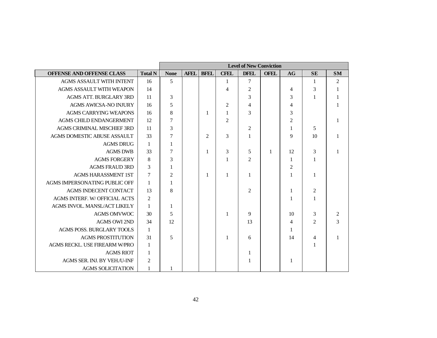|                               |                | <b>Level of New Conviction</b> |             |             |                |                |             |                |                |                |  |
|-------------------------------|----------------|--------------------------------|-------------|-------------|----------------|----------------|-------------|----------------|----------------|----------------|--|
| OFFENSE AND OFFENSE CLASS     | <b>Total N</b> | <b>None</b>                    | <b>AFEL</b> | <b>BFEL</b> | <b>CFEL</b>    | <b>DFEL</b>    | <b>OFEL</b> | AG             | <b>SE</b>      | <b>SM</b>      |  |
| AGMS ASSAULT WITH INTENT      | 16             | 5                              |             |             | $\mathbf{1}$   | $\tau$         |             |                | $\mathbf{1}$   | $\overline{c}$ |  |
| AGMS ASSAULT WITH WEAPON      | 14             |                                |             |             | $\overline{4}$ | $\mathfrak{2}$ |             | 4              | 3              |                |  |
| AGMS ATT. BURGLARY 3RD        | 11             | $\mathfrak{Z}$                 |             |             |                | 3              |             | 3              | 1              |                |  |
| <b>AGMS AWICSA-NO INJURY</b>  | -16            | 5                              |             |             | 2              | $\overline{4}$ |             | $\overline{4}$ |                |                |  |
| <b>AGMS CARRYING WEAPONS</b>  | 16             | $\,8\,$                        |             | -1          | $\mathbf{1}$   | 3              |             | 3              |                |                |  |
| AGMS CHILD ENDANGERMENT       | 12             | $\boldsymbol{7}$               |             |             | $\overline{2}$ |                |             | $\overline{2}$ |                |                |  |
| AGMS CRIMINAL MISCHIEF 3RD    | <b>11</b>      | $\mathfrak 3$                  |             |             |                | $\overline{c}$ |             | 1              | 5              |                |  |
| AGMS DOMESTIC ABUSE ASSAULT   | 33             | $\tau$                         |             | 2           | 3              | 1              |             | 9              | 10             |                |  |
| <b>AGMS DRUG</b>              | $\overline{1}$ | 1                              |             |             |                |                |             |                |                |                |  |
| <b>AGMS DWB</b>               | 33             | 7                              |             | 1           | 3              | 5              | 1           | 12             | 3              |                |  |
| <b>AGMS FORGERY</b>           | 8              | $\mathfrak{Z}$                 |             |             | $\mathbf{1}$   | 2              |             | $\mathbf{1}$   | 1              |                |  |
| <b>AGMS FRAUD 3RD</b>         | $\mathfrak{Z}$ | 1                              |             |             |                |                |             | $\overline{c}$ |                |                |  |
| <b>AGMS HARASSMENT 1ST</b>    | 7              | $\overline{c}$                 |             | -1          | $\mathbf{1}$   | 1              |             | 1              | $\mathbf{1}$   |                |  |
| AGMS IMPERSONATING PUBLIC OFF | $\mathbf{1}$   | 1                              |             |             |                |                |             |                |                |                |  |
| <b>AGMS INDECENT CONTACT</b>  | 13             | $\,8\,$                        |             |             |                | $\overline{2}$ |             | 1              | $\overline{2}$ |                |  |
| AGMS INTERF. W/ OFFICIAL ACTS | 2              |                                |             |             |                |                |             | 1              | 1              |                |  |
| AGMS INVOL. MANSL/ACT LIKELY  | $\mathbf{1}$   | 1                              |             |             |                |                |             |                |                |                |  |
| <b>AGMS OMVWOC</b>            | 30             | 5                              |             |             | $\mathbf{1}$   | 9              |             | 10             | 3              | $\sqrt{2}$     |  |
| <b>AGMS OWI 2ND</b>           | 34             | 12                             |             |             |                | 13             |             | $\overline{4}$ | 2              | 3              |  |
| AGMS POSS. BURGLARY TOOLS     | 1              |                                |             |             |                |                |             | 1              |                |                |  |
| <b>AGMS PROSTITUTION</b>      | 31             | 5                              |             |             | $\mathbf{1}$   | 6              |             | 14             | 4              |                |  |
| AGMS RECKL. USE FIREARM W/PRO | $\mathbf{1}$   |                                |             |             |                |                |             |                | 1              |                |  |
| <b>AGMS RIOT</b>              | $\mathbf{1}$   |                                |             |             |                | 1              |             |                |                |                |  |
| AGMS SER. INJ. BY VEH./U-INF  | $\overline{2}$ |                                |             |             |                |                |             | 1              |                |                |  |
| <b>AGMS SOLICITATION</b>      | 1              |                                |             |             |                |                |             |                |                |                |  |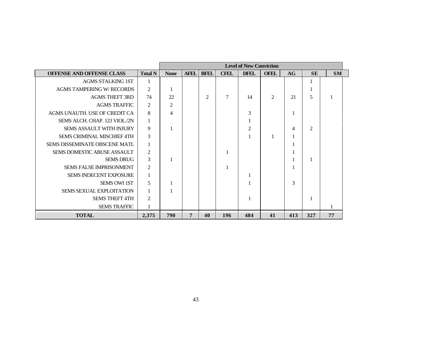|                                   |                | <b>Level of New Conviction</b> |                |                |                |                |             |     |                |           |  |  |
|-----------------------------------|----------------|--------------------------------|----------------|----------------|----------------|----------------|-------------|-----|----------------|-----------|--|--|
| OFFENSE AND OFFENSE CLASS         | <b>Total N</b> | <b>None</b>                    | <b>AFEL</b>    | <b>BFEL</b>    | <b>CFEL</b>    | <b>DFEL</b>    | <b>OFEL</b> | AG  | <b>SE</b>      | <b>SM</b> |  |  |
| <b>AGMS STALKING 1ST</b>          | 1              |                                |                |                |                |                |             |     | 1              |           |  |  |
| <b>AGMS TAMPERING W/ RECORDS</b>  | 2              | -1                             |                |                |                |                |             |     | Л              |           |  |  |
| <b>AGMS THEFT 3RD</b>             | 74             | 22                             |                | $\overline{c}$ | $\overline{7}$ | 14             | 2           | 21  | 5              |           |  |  |
| <b>AGMS TRAFFIC</b>               | 2              | $\overline{c}$                 |                |                |                |                |             |     |                |           |  |  |
| AGMS UNAUTH. USE OF CREDIT CA     | 8              | $\overline{4}$                 |                |                |                | 3              |             | 1   |                |           |  |  |
| SEMS ALCH. CHAP. 123 VIOL./2N     | 1              |                                |                |                |                |                |             |     |                |           |  |  |
| SEMS ASSAULT WITH INJURY          | 9              | 1                              |                |                |                | $\overline{2}$ |             | 4   | $\overline{2}$ |           |  |  |
| <b>SEMS CRIMINAL MISCHIEF 4TH</b> | 3              |                                |                |                |                |                |             | 1   |                |           |  |  |
| SEMS DISSEMINATE OBSCENE MATL     |                |                                |                |                |                |                |             |     |                |           |  |  |
| SEMS DOMESTIC ABUSE ASSAULT       | $\overline{2}$ |                                |                |                |                |                |             |     |                |           |  |  |
| <b>SEMS DRUG</b>                  | 3              |                                |                |                |                |                |             |     | 1              |           |  |  |
| <b>SEMS FALSE IMPRISONMENT</b>    | $\overline{c}$ |                                |                |                |                |                |             | 1   |                |           |  |  |
| SEMS INDECENT EXPOSURE            | 1              |                                |                |                |                |                |             |     |                |           |  |  |
| <b>SEMS OWI 1ST</b>               | 5              | 1                              |                |                |                |                |             | 3   |                |           |  |  |
| <b>SEMS SEXUAL EXPLOITATION</b>   |                |                                |                |                |                |                |             |     |                |           |  |  |
| <b>SEMS THEFT 4TH</b>             | 2              |                                |                |                |                |                |             |     | 1              |           |  |  |
| <b>SEMS TRAFFIC</b>               |                |                                |                |                |                |                |             |     |                |           |  |  |
| <b>TOTAL</b>                      | 2,375          | 790                            | $\overline{7}$ | 40             | 196            | 484            | 41          | 413 | 327            | 77        |  |  |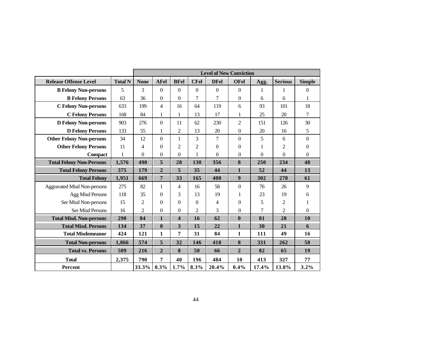|                                    |                | <b>Level of New Conviction</b> |                |                  |                |                |                  |                |                |                  |  |
|------------------------------------|----------------|--------------------------------|----------------|------------------|----------------|----------------|------------------|----------------|----------------|------------------|--|
| <b>Release Offense Level</b>       | <b>Total N</b> | <b>None</b>                    | <b>AFel</b>    | <b>BFel</b>      | <b>CFel</b>    | <b>DFel</b>    | <b>OFel</b>      | Agg.           | <b>Serious</b> | <b>Simple</b>    |  |
| <b>B Felony Non-persons</b>        | 5              | 3                              | $\Omega$       | $\overline{0}$   | $\Omega$       | $\overline{0}$ | $\theta$         | 1              | 1              | $\theta$         |  |
| <b>B Felony Persons</b>            | 63             | 36                             | $\overline{0}$ | $\overline{0}$   | 7              | 7              | $\boldsymbol{0}$ | 6              | 6              | 1                |  |
| <b>C Felony Non-persons</b>        | 633            | 199                            | $\overline{4}$ | 16               | 64             | 119            | 6                | 93             | 101            | 18               |  |
| <b>C Felony Persons</b>            | 168            | 84                             | 1              | 1                | 13             | 17             | 1                | 25             | 20             | 7                |  |
| <b>D Felony Non-persons</b>        | 903            | 276                            | $\Omega$       | 11               | 62             | 230            | $\overline{c}$   | 151            | 126            | 30               |  |
| <b>D Felony Persons</b>            | 133            | 55                             | $\mathbf{1}$   | $\overline{c}$   | 13             | 20             | $\boldsymbol{0}$ | 20             | 16             | 5                |  |
| <b>Other Felony Non-persons</b>    | 34             | 12                             | $\Omega$       | $\mathbf{1}$     | 3              | 7              | $\boldsymbol{0}$ | 5              | 6              | $\boldsymbol{0}$ |  |
| <b>Other Felony Persons</b>        | 11             | 4                              | $\Omega$       | $\overline{2}$   | $\overline{2}$ | $\overline{0}$ | $\theta$         | 1              | 2              | $\overline{0}$   |  |
| <b>Compact</b>                     | $\mathbf{1}$   | $\Omega$                       | $\overline{0}$ | $\boldsymbol{0}$ |                | $\overline{0}$ | $\boldsymbol{0}$ | $\overline{0}$ | $\overline{0}$ | $\boldsymbol{0}$ |  |
| <b>Total Felony Non-Persons</b>    | 1,576          | 490                            | 5              | 28               | 130            | 356            | 8                | 250            | 234            | 48               |  |
| <b>Total Felony Persons</b>        | 375            | 179                            | $\overline{2}$ | 5                | 35             | 44             | $\mathbf{1}$     | 52             | 44             | 13               |  |
| <b>Total Felony</b>                | 1,951          | 669                            | $\overline{7}$ | 33               | 165            | 400            | 9                | 302            | 278            | 61               |  |
| <b>Aggravated Misd Non-persons</b> | 275            | 82                             | 1              | 4                | 16             | 58             | $\boldsymbol{0}$ | 76             | 26             | 9                |  |
| Agg Misd Persons                   | 118            | 35                             | $\theta$       | 3                | 13             | 19             | 1                | 23             | 19             | 6                |  |
| Ser Misd Non-persons               | 15             | 2                              | $\theta$       | $\overline{0}$   | $\Omega$       | 4              | $\boldsymbol{0}$ | 5              | $\overline{2}$ | 1                |  |
| <b>Ser Misd Persons</b>            | 16             | 2                              | $\overline{0}$ | $\boldsymbol{0}$ | 2              | 3              | $\boldsymbol{0}$ | 7              | $\overline{2}$ | $\boldsymbol{0}$ |  |
| <b>Total Misd. Non-persons</b>     | 290            | 84                             | $\mathbf{1}$   | 4                | 16             | 62             | $\bf{0}$         | 81             | 28             | 10               |  |
| <b>Total Misd. Persons</b>         | 134            | 37                             | $\bf{0}$       | $\mathbf{3}$     | 15             | 22             | $\mathbf{1}$     | 30             | 21             | 6                |  |
| <b>Total Misdemeanor</b>           | 424            | 121                            | $\mathbf{1}$   | 7                | 31             | 84             | 1                | 111            | 49             | 16               |  |
| <b>Total Non-persons</b>           | 1,866          | 574                            | 5              | 32               | 146            | 418            | $\bf{8}$         | 331            | 262            | 58               |  |
| <b>Total vs. Persons</b>           | 509            | 216                            | $\overline{2}$ | 8                | 50             | 66             | $\overline{2}$   | 82             | 65             | 19               |  |
| <b>Total</b>                       | 2,375          | 790                            | 7              | 40               | 196            | 484            | 10               | 413            | 327            | 77               |  |
| Percent                            |                | 33.3%                          | 0.3%           | 1.7%             | 8.3%           | 20.4%          | 0.4%             | 17.4%          | 13.8%          | 3.2%             |  |